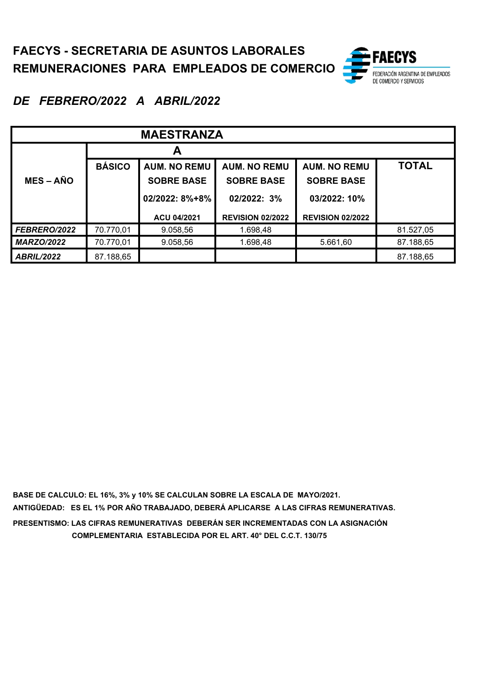

# *DE FEBRERO/2022 A ABRIL/2022*

| <b>MAESTRANZA</b> |               |                     |                         |                         |              |  |  |
|-------------------|---------------|---------------------|-------------------------|-------------------------|--------------|--|--|
|                   |               | А                   |                         |                         |              |  |  |
|                   | <b>BÁSICO</b> | <b>AUM. NO REMU</b> | <b>AUM. NO REMU</b>     | <b>AUM. NO REMU</b>     | <b>TOTAL</b> |  |  |
| $MES - AÑO$       |               | <b>SOBRE BASE</b>   | <b>SOBRE BASE</b>       | <b>SOBRE BASE</b>       |              |  |  |
|                   |               | 02/2022: 8%+8%      | 02/2022: 3%             | 03/2022: 10%            |              |  |  |
|                   |               | ACU 04/2021         | <b>REVISION 02/2022</b> | <b>REVISION 02/2022</b> |              |  |  |
| FEBRERO/2022      | 70.770,01     | 9.058,56            | 1.698,48                |                         | 81.527,05    |  |  |
| <b>MARZO/2022</b> | 70.770,01     | 9.058,56            | 1.698,48                | 5.661,60                | 87.188,65    |  |  |
| <b>ABRIL/2022</b> | 87.188,65     |                     |                         |                         | 87.188,65    |  |  |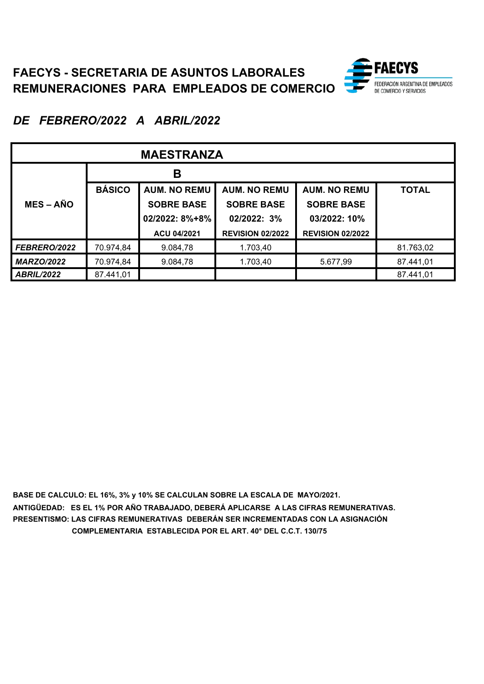

*DE FEBRERO/2022 A ABRIL/2022*

| <b>MAESTRANZA</b> |               |                     |                         |                         |              |  |  |
|-------------------|---------------|---------------------|-------------------------|-------------------------|--------------|--|--|
|                   |               | В                   |                         |                         |              |  |  |
|                   | <b>BÁSICO</b> | <b>AUM. NO REMU</b> | <b>AUM. NO REMU</b>     | <b>AUM. NO REMU</b>     | <b>TOTAL</b> |  |  |
| <b>MES-AÑO</b>    |               | <b>SOBRE BASE</b>   | <b>SOBRE BASE</b>       | <b>SOBRE BASE</b>       |              |  |  |
|                   |               | 02/2022: 8%+8%      | 02/2022: 3%             | 03/2022: 10%            |              |  |  |
|                   |               | ACU 04/2021         | <b>REVISION 02/2022</b> | <b>REVISION 02/2022</b> |              |  |  |
| FEBRERO/2022      | 70.974,84     | 9.084,78            | 1.703,40                |                         | 81.763,02    |  |  |
| <b>MARZO/2022</b> | 70.974,84     | 9.084,78            | 1.703,40                | 5.677,99                | 87.441,01    |  |  |
| <b>ABRIL/2022</b> | 87.441,01     |                     |                         |                         | 87.441,01    |  |  |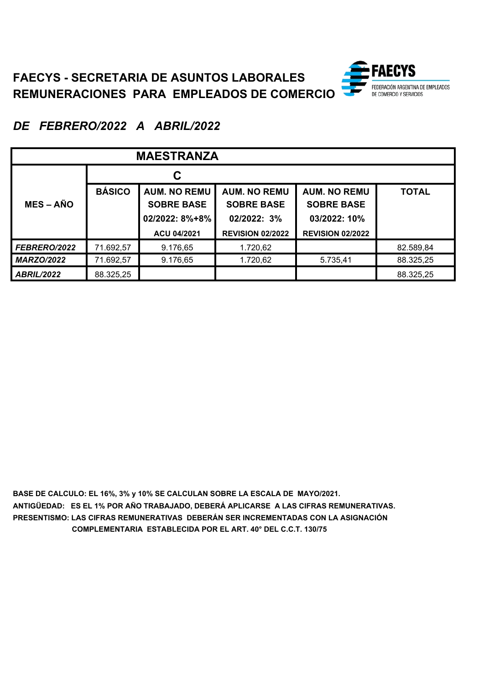

*DE FEBRERO/2022 A ABRIL/2022*

| <b>MAESTRANZA</b> |               |                                          |                                          |                                          |              |  |  |
|-------------------|---------------|------------------------------------------|------------------------------------------|------------------------------------------|--------------|--|--|
|                   |               | С                                        |                                          |                                          |              |  |  |
| <b>MES-AÑO</b>    | <b>BÁSICO</b> | <b>AUM. NO REMU</b><br><b>SOBRE BASE</b> | <b>AUM. NO REMU</b><br><b>SOBRE BASE</b> | <b>AUM. NO REMU</b><br><b>SOBRE BASE</b> | <b>TOTAL</b> |  |  |
|                   |               | 02/2022: 8%+8%                           | 02/2022: 3%                              | 03/2022: 10%                             |              |  |  |
|                   |               | ACU 04/2021                              | <b>REVISION 02/2022</b>                  | <b>REVISION 02/2022</b>                  |              |  |  |
| FEBRERO/2022      | 71.692,57     | 9.176,65                                 | 1.720,62                                 |                                          | 82.589,84    |  |  |
| <b>MARZO/2022</b> | 71.692,57     | 9.176,65                                 | 1.720,62                                 | 5.735,41                                 | 88.325,25    |  |  |
| <b>ABRIL/2022</b> | 88.325,25     |                                          |                                          |                                          | 88.325,25    |  |  |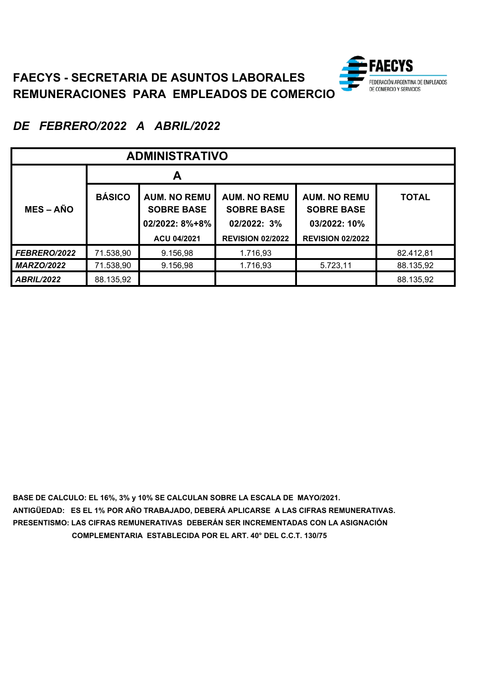

*DE FEBRERO/2022 A ABRIL/2022*

| <b>ADMINISTRATIVO</b> |               |                                          |                                          |                                          |              |  |  |  |
|-----------------------|---------------|------------------------------------------|------------------------------------------|------------------------------------------|--------------|--|--|--|
| A                     |               |                                          |                                          |                                          |              |  |  |  |
| <b>MES – AÑO</b>      | <b>BÁSICO</b> | <b>AUM. NO REMU</b><br><b>SOBRE BASE</b> | <b>AUM. NO REMU</b><br><b>SOBRE BASE</b> | <b>AUM. NO REMU</b><br><b>SOBRE BASE</b> | <b>TOTAL</b> |  |  |  |
|                       |               | 02/2022: 8%+8%                           | 02/2022: 3%                              | 03/2022: 10%                             |              |  |  |  |
|                       |               | ACU 04/2021                              | <b>REVISION 02/2022</b>                  | <b>REVISION 02/2022</b>                  |              |  |  |  |
| FEBRERO/2022          | 71.538,90     | 9.156,98                                 | 1.716,93                                 |                                          | 82.412,81    |  |  |  |
| <b>MARZO/2022</b>     | 71.538,90     | 9.156,98                                 | 1.716,93                                 | 5.723,11                                 | 88.135,92    |  |  |  |
| <b>ABRIL/2022</b>     | 88.135,92     |                                          |                                          |                                          | 88.135,92    |  |  |  |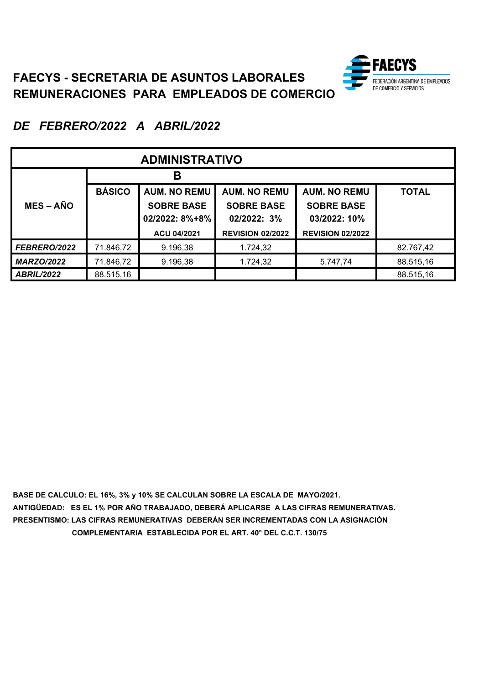

*DE FEBRERO/2022 A ABRIL/2022*

| <b>ADMINISTRATIVO</b> |               |                     |                         |                         |              |  |  |  |
|-----------------------|---------------|---------------------|-------------------------|-------------------------|--------------|--|--|--|
|                       |               | В                   |                         |                         |              |  |  |  |
|                       | <b>BÁSICO</b> | <b>AUM. NO REMU</b> | <b>AUM. NO REMU</b>     | <b>AUM. NO REMU</b>     | <b>TOTAL</b> |  |  |  |
| <b>MES – AÑO</b>      |               | <b>SOBRE BASE</b>   | <b>SOBRE BASE</b>       | <b>SOBRE BASE</b>       |              |  |  |  |
|                       |               | 02/2022: 8%+8%      | 02/2022: 3%             | 03/2022: 10%            |              |  |  |  |
|                       |               | ACU 04/2021         | <b>REVISION 02/2022</b> | <b>REVISION 02/2022</b> |              |  |  |  |
| <b>FEBRERO/2022</b>   | 71.846,72     | 9.196,38            | 1.724,32                |                         | 82.767,42    |  |  |  |
| <b>MARZO/2022</b>     | 71.846,72     | 9.196,38            | 1.724,32                | 5.747,74                | 88.515,16    |  |  |  |
| <b>ABRIL/2022</b>     | 88.515,16     |                     |                         |                         | 88.515,16    |  |  |  |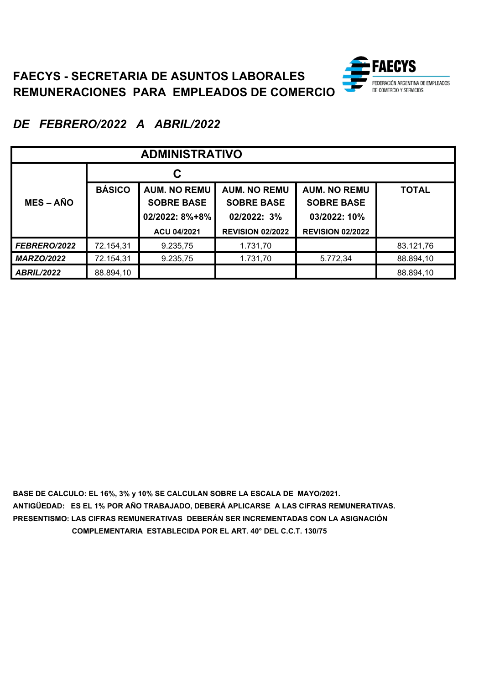

*DE FEBRERO/2022 A ABRIL/2022*

| <b>ADMINISTRATIVO</b> |               |                                                                           |                                                                                    |                                                                                     |              |  |  |  |
|-----------------------|---------------|---------------------------------------------------------------------------|------------------------------------------------------------------------------------|-------------------------------------------------------------------------------------|--------------|--|--|--|
|                       |               | С                                                                         |                                                                                    |                                                                                     |              |  |  |  |
| <b>MES – AÑO</b>      | <b>BÁSICO</b> | <b>AUM. NO REMU</b><br><b>SOBRE BASE</b><br>02/2022: 8%+8%<br>ACU 04/2021 | <b>AUM. NO REMU</b><br><b>SOBRE BASE</b><br>02/2022: 3%<br><b>REVISION 02/2022</b> | <b>AUM. NO REMU</b><br><b>SOBRE BASE</b><br>03/2022: 10%<br><b>REVISION 02/2022</b> | <b>TOTAL</b> |  |  |  |
|                       |               |                                                                           |                                                                                    |                                                                                     |              |  |  |  |
| <b>FEBRERO/2022</b>   | 72.154,31     | 9.235,75                                                                  | 1.731,70                                                                           |                                                                                     | 83.121,76    |  |  |  |
| <b>MARZO/2022</b>     | 72.154,31     | 9.235,75                                                                  | 1.731,70                                                                           | 5.772,34                                                                            | 88.894,10    |  |  |  |
| <b>ABRIL/2022</b>     | 88.894,10     |                                                                           |                                                                                    |                                                                                     | 88.894,10    |  |  |  |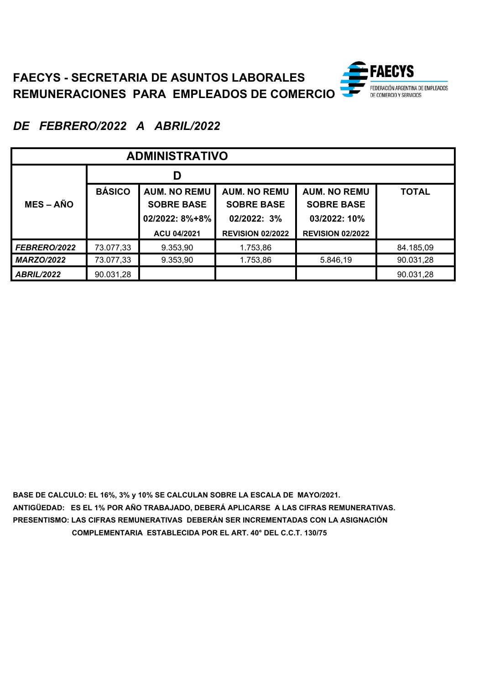

*DE FEBRERO/2022 A ABRIL/2022*

| <b>ADMINISTRATIVO</b> |               |                                                                           |                                                                                    |                                                                                     |              |  |  |
|-----------------------|---------------|---------------------------------------------------------------------------|------------------------------------------------------------------------------------|-------------------------------------------------------------------------------------|--------------|--|--|
|                       |               |                                                                           |                                                                                    |                                                                                     |              |  |  |
| <b>MES-AÑO</b>        | <b>BÁSICO</b> | <b>AUM. NO REMU</b><br><b>SOBRE BASE</b><br>02/2022: 8%+8%<br>ACU 04/2021 | <b>AUM. NO REMU</b><br><b>SOBRE BASE</b><br>02/2022: 3%<br><b>REVISION 02/2022</b> | <b>AUM. NO REMU</b><br><b>SOBRE BASE</b><br>03/2022: 10%<br><b>REVISION 02/2022</b> | <b>TOTAL</b> |  |  |
|                       |               |                                                                           |                                                                                    |                                                                                     |              |  |  |
| <b>FEBRERO/2022</b>   | 73.077,33     | 9.353,90                                                                  | 1.753,86                                                                           |                                                                                     | 84.185,09    |  |  |
| <b>MARZO/2022</b>     | 73.077,33     | 9.353,90                                                                  | 1.753,86                                                                           | 5.846,19                                                                            | 90.031,28    |  |  |
| <b>ABRIL/2022</b>     | 90.031,28     |                                                                           |                                                                                    |                                                                                     | 90.031,28    |  |  |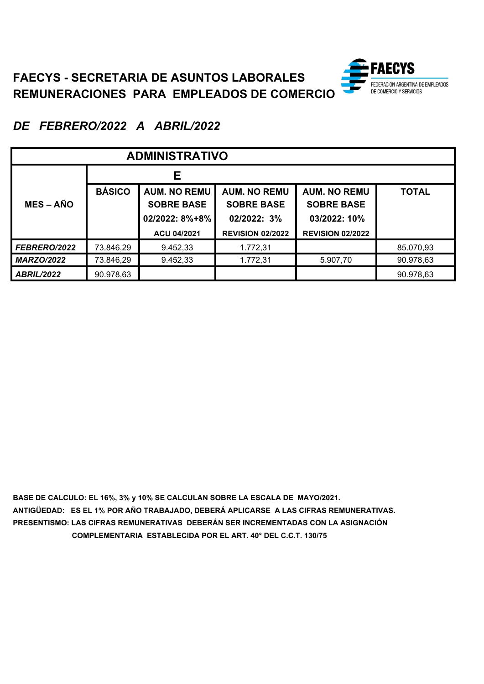

*DE FEBRERO/2022 A ABRIL/2022*

| <b>ADMINISTRATIVO</b> |               |                                          |                                          |                                          |              |  |  |
|-----------------------|---------------|------------------------------------------|------------------------------------------|------------------------------------------|--------------|--|--|
|                       |               | Е                                        |                                          |                                          |              |  |  |
| <b>MES-AÑO</b>        | <b>BÁSICO</b> | <b>AUM. NO REMU</b><br><b>SOBRE BASE</b> | <b>AUM. NO REMU</b><br><b>SOBRE BASE</b> | <b>AUM. NO REMU</b><br><b>SOBRE BASE</b> | <b>TOTAL</b> |  |  |
|                       |               | 02/2022: 8%+8%                           | 02/2022: 3%                              | 03/2022: 10%                             |              |  |  |
|                       |               | ACU 04/2021                              | <b>REVISION 02/2022</b>                  | <b>REVISION 02/2022</b>                  |              |  |  |
| FEBRERO/2022          | 73.846,29     | 9.452,33                                 | 1.772,31                                 |                                          | 85.070,93    |  |  |
| <b>MARZO/2022</b>     | 73.846,29     | 9.452,33                                 | 1.772,31                                 | 5.907,70                                 | 90.978,63    |  |  |
| <b>ABRIL/2022</b>     | 90.978,63     |                                          |                                          |                                          | 90.978,63    |  |  |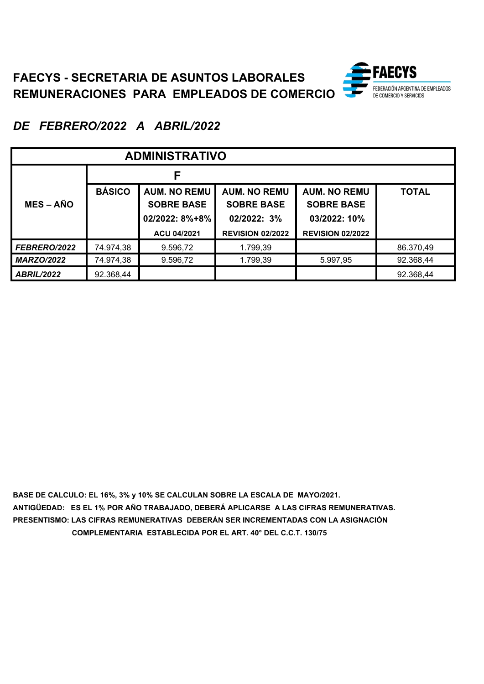

*DE FEBRERO/2022 A ABRIL/2022*

| <b>ADMINISTRATIVO</b> |               |                                                            |                                                         |                                                          |              |  |  |
|-----------------------|---------------|------------------------------------------------------------|---------------------------------------------------------|----------------------------------------------------------|--------------|--|--|
|                       |               |                                                            |                                                         |                                                          |              |  |  |
| <b>MES-AÑO</b>        | <b>BÁSICO</b> | <b>AUM. NO REMU</b><br><b>SOBRE BASE</b><br>02/2022: 8%+8% | <b>AUM. NO REMU</b><br><b>SOBRE BASE</b><br>02/2022: 3% | <b>AUM. NO REMU</b><br><b>SOBRE BASE</b><br>03/2022: 10% | <b>TOTAL</b> |  |  |
|                       |               | ACU 04/2021                                                | <b>REVISION 02/2022</b>                                 | <b>REVISION 02/2022</b>                                  |              |  |  |
| <b>FEBRERO/2022</b>   | 74.974,38     | 9.596,72                                                   | 1.799,39                                                |                                                          | 86.370,49    |  |  |
| <b>MARZO/2022</b>     | 74.974,38     | 9.596,72                                                   | 1.799,39                                                | 5.997,95                                                 | 92.368,44    |  |  |
| <b>ABRIL/2022</b>     | 92.368,44     |                                                            |                                                         |                                                          | 92.368,44    |  |  |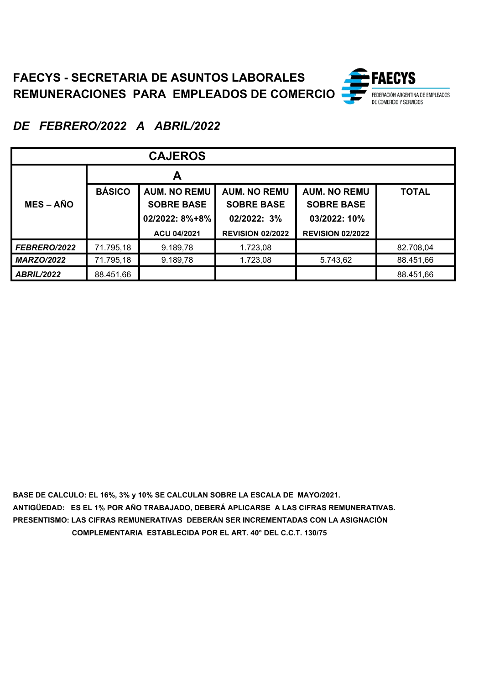

## *DE FEBRERO/2022 A ABRIL/2022*

| <b>CAJEROS</b>    |               |                                          |                                          |                                          |              |  |  |
|-------------------|---------------|------------------------------------------|------------------------------------------|------------------------------------------|--------------|--|--|
|                   |               | A                                        |                                          |                                          |              |  |  |
| <b>MES-AÑO</b>    | <b>BÁSICO</b> | <b>AUM. NO REMU</b><br><b>SOBRE BASE</b> | <b>AUM. NO REMU</b><br><b>SOBRE BASE</b> | <b>AUM. NO REMU</b><br><b>SOBRE BASE</b> | <b>TOTAL</b> |  |  |
|                   |               | 02/2022: 8%+8%                           | 02/2022: 3%                              | 03/2022: 10%                             |              |  |  |
|                   |               | ACU 04/2021                              | <b>REVISION 02/2022</b>                  | <b>REVISION 02/2022</b>                  |              |  |  |
| FEBRERO/2022      | 71.795,18     | 9.189,78                                 | 1.723,08                                 |                                          | 82.708,04    |  |  |
| <b>MARZO/2022</b> | 71.795,18     | 9.189,78                                 | 1.723,08                                 | 5.743,62                                 | 88.451,66    |  |  |
| <b>ABRIL/2022</b> | 88.451,66     |                                          |                                          |                                          | 88.451,66    |  |  |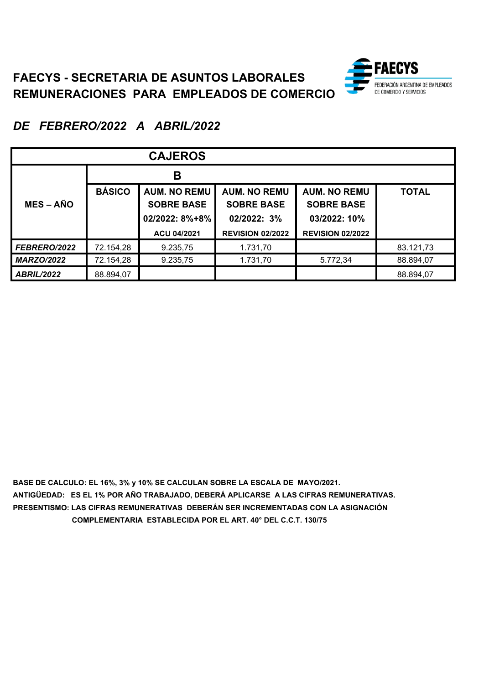

### *DE FEBRERO/2022 A ABRIL/2022*

| <b>CAJEROS</b>    |               |                                                                           |                                                                                    |                                                                                     |              |  |  |
|-------------------|---------------|---------------------------------------------------------------------------|------------------------------------------------------------------------------------|-------------------------------------------------------------------------------------|--------------|--|--|
|                   |               | В                                                                         |                                                                                    |                                                                                     |              |  |  |
| <b>MES – AÑO</b>  | <b>BÁSICO</b> | <b>AUM. NO REMU</b><br><b>SOBRE BASE</b><br>02/2022: 8%+8%<br>ACU 04/2021 | <b>AUM. NO REMU</b><br><b>SOBRE BASE</b><br>02/2022: 3%<br><b>REVISION 02/2022</b> | <b>AUM. NO REMU</b><br><b>SOBRE BASE</b><br>03/2022: 10%<br><b>REVISION 02/2022</b> | <b>TOTAL</b> |  |  |
| FEBRERO/2022      | 72.154,28     | 9.235,75                                                                  | 1.731,70                                                                           |                                                                                     | 83.121,73    |  |  |
| <b>MARZO/2022</b> | 72.154,28     | 9.235,75                                                                  | 1.731,70                                                                           | 5.772,34                                                                            | 88.894,07    |  |  |
| <b>ABRIL/2022</b> | 88.894,07     |                                                                           |                                                                                    |                                                                                     | 88.894,07    |  |  |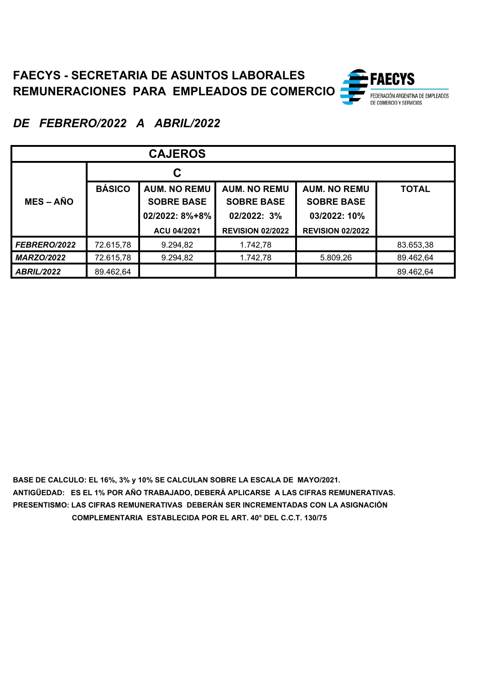

# *DE FEBRERO/2022 A ABRIL/2022*

| <b>CAJEROS</b>    |               |                                                                                  |                                                                                    |                                                                                     |              |  |  |
|-------------------|---------------|----------------------------------------------------------------------------------|------------------------------------------------------------------------------------|-------------------------------------------------------------------------------------|--------------|--|--|
|                   |               | C                                                                                |                                                                                    |                                                                                     |              |  |  |
| <b>MES – AÑO</b>  | <b>BÁSICO</b> | <b>AUM. NO REMU</b><br><b>SOBRE BASE</b><br>02/2022: 8%+8%<br><b>ACU 04/2021</b> | <b>AUM. NO REMU</b><br><b>SOBRE BASE</b><br>02/2022: 3%<br><b>REVISION 02/2022</b> | <b>AUM. NO REMU</b><br><b>SOBRE BASE</b><br>03/2022: 10%<br><b>REVISION 02/2022</b> | <b>TOTAL</b> |  |  |
| FEBRERO/2022      | 72.615,78     | 9.294,82                                                                         | 1.742,78                                                                           |                                                                                     | 83.653,38    |  |  |
| <b>MARZO/2022</b> | 72.615,78     | 9.294,82                                                                         | 1.742,78                                                                           | 5.809,26                                                                            | 89.462,64    |  |  |
| <b>ABRIL/2022</b> | 89.462,64     |                                                                                  |                                                                                    |                                                                                     | 89.462,64    |  |  |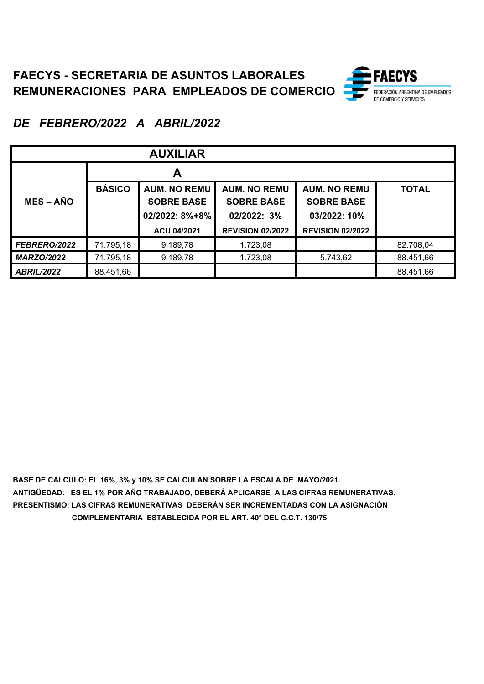

# *DE FEBRERO/2022 A ABRIL/2022*

| <b>AUXILIAR</b>     |               |                                                                           |                                                                                    |                                                                                     |              |  |  |
|---------------------|---------------|---------------------------------------------------------------------------|------------------------------------------------------------------------------------|-------------------------------------------------------------------------------------|--------------|--|--|
|                     |               | A                                                                         |                                                                                    |                                                                                     |              |  |  |
| $MES - AÑO$         | <b>BÁSICO</b> | <b>AUM. NO REMU</b><br><b>SOBRE BASE</b><br>02/2022: 8%+8%<br>ACU 04/2021 | <b>AUM. NO REMU</b><br><b>SOBRE BASE</b><br>02/2022: 3%<br><b>REVISION 02/2022</b> | <b>AUM. NO REMU</b><br><b>SOBRE BASE</b><br>03/2022: 10%<br><b>REVISION 02/2022</b> | <b>TOTAL</b> |  |  |
| <b>FEBRERO/2022</b> | 71.795,18     | 9.189,78                                                                  | 1.723,08                                                                           |                                                                                     | 82.708,04    |  |  |
| <b>MARZO/2022</b>   | 71.795,18     | 9.189,78                                                                  | 1.723,08                                                                           | 5.743,62                                                                            | 88.451,66    |  |  |
| <b>ABRIL/2022</b>   | 88.451,66     |                                                                           |                                                                                    |                                                                                     | 88.451,66    |  |  |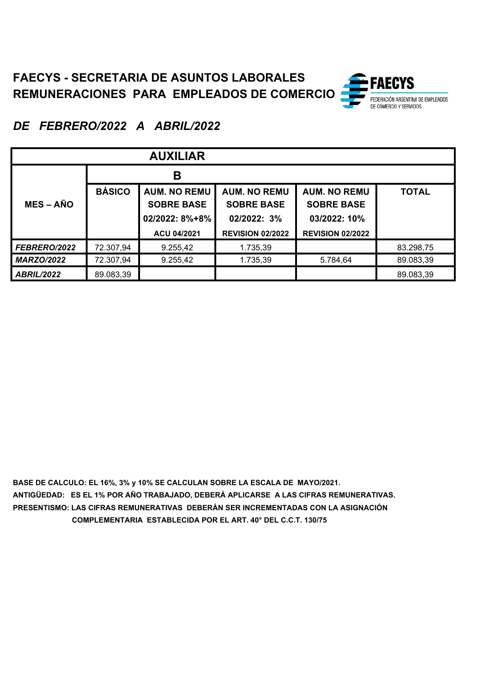

# *DE FEBRERO/2022 A ABRIL/2022*

| <b>AUXILIAR</b>   |               |                                          |                                          |                                          |              |  |  |
|-------------------|---------------|------------------------------------------|------------------------------------------|------------------------------------------|--------------|--|--|
|                   |               | В                                        |                                          |                                          |              |  |  |
| <b>MES – AÑO</b>  | <b>BÁSICO</b> | <b>AUM. NO REMU</b><br><b>SOBRE BASE</b> | <b>AUM. NO REMU</b><br><b>SOBRE BASE</b> | <b>AUM. NO REMU</b><br><b>SOBRE BASE</b> | <b>TOTAL</b> |  |  |
|                   |               | 02/2022: 8%+8%<br>ACU 04/2021            | 02/2022: 3%<br><b>REVISION 02/2022</b>   | 03/2022: 10%<br><b>REVISION 02/2022</b>  |              |  |  |
| FEBRERO/2022      | 72.307,94     | 9.255,42                                 | 1.735,39                                 |                                          | 83.298,75    |  |  |
| <b>MARZO/2022</b> | 72.307,94     | 9.255,42                                 | 1.735,39                                 | 5.784,64                                 | 89.083,39    |  |  |
| <b>ABRIL/2022</b> | 89.083,39     |                                          |                                          |                                          | 89.083,39    |  |  |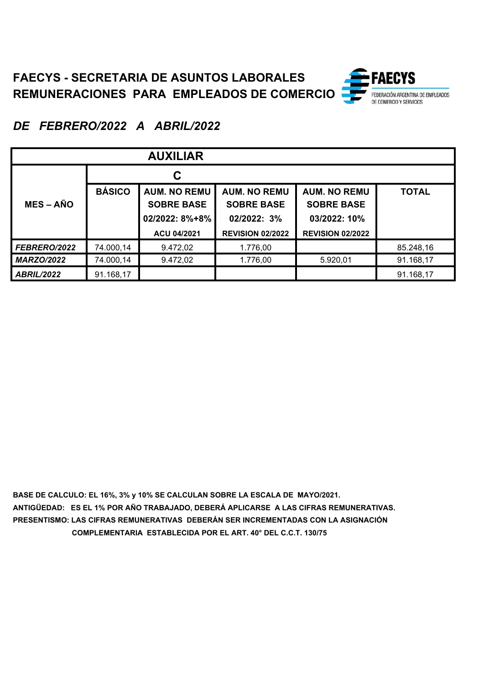

## *DE FEBRERO/2022 A ABRIL/2022*

| <b>AUXILIAR</b>   |               |                                                                           |                                                                                    |                                                                                     |              |  |  |
|-------------------|---------------|---------------------------------------------------------------------------|------------------------------------------------------------------------------------|-------------------------------------------------------------------------------------|--------------|--|--|
|                   |               | С                                                                         |                                                                                    |                                                                                     |              |  |  |
| <b>MES – AÑO</b>  | <b>BÁSICO</b> | <b>AUM. NO REMU</b><br><b>SOBRE BASE</b><br>02/2022: 8%+8%<br>ACU 04/2021 | <b>AUM. NO REMU</b><br><b>SOBRE BASE</b><br>02/2022: 3%<br><b>REVISION 02/2022</b> | <b>AUM. NO REMU</b><br><b>SOBRE BASE</b><br>03/2022: 10%<br><b>REVISION 02/2022</b> | <b>TOTAL</b> |  |  |
| FEBRERO/2022      | 74.000,14     | 9.472,02                                                                  | 1.776,00                                                                           |                                                                                     | 85.248,16    |  |  |
| <b>MARZO/2022</b> | 74.000,14     | 9.472,02                                                                  | 1.776,00                                                                           | 5.920,01                                                                            | 91.168,17    |  |  |
| <b>ABRIL/2022</b> | 91.168,17     |                                                                           |                                                                                    |                                                                                     | 91.168,17    |  |  |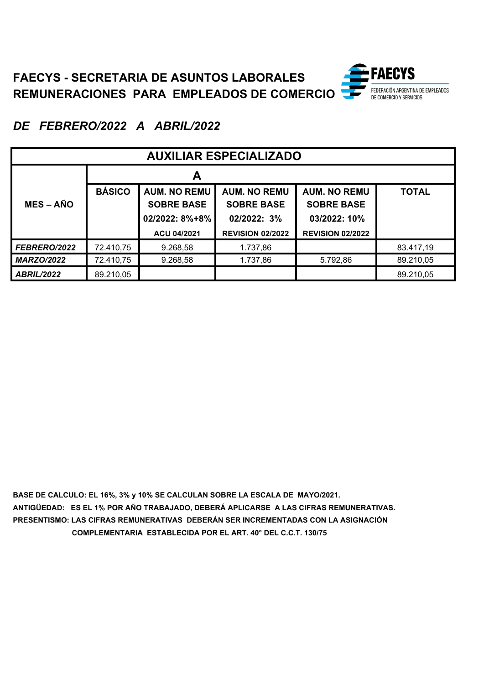

*DE FEBRERO/2022 A ABRIL/2022*

| <b>AUXILIAR ESPECIALIZADO</b>                                                                                                                                                                                                          |           |             |                         |                         |           |  |  |  |
|----------------------------------------------------------------------------------------------------------------------------------------------------------------------------------------------------------------------------------------|-----------|-------------|-------------------------|-------------------------|-----------|--|--|--|
|                                                                                                                                                                                                                                        |           | A           |                         |                         |           |  |  |  |
| <b>BÁSICO</b><br><b>AUM. NO REMU</b><br><b>AUM. NO REMU</b><br><b>AUM. NO REMU</b><br><b>TOTAL</b><br><b>MES – AÑO</b><br><b>SOBRE BASE</b><br><b>SOBRE BASE</b><br><b>SOBRE BASE</b><br>02/2022: 8%+8%<br>02/2022: 3%<br>03/2022: 10% |           |             |                         |                         |           |  |  |  |
|                                                                                                                                                                                                                                        |           | ACU 04/2021 | <b>REVISION 02/2022</b> | <b>REVISION 02/2022</b> |           |  |  |  |
| <b>FEBRERO/2022</b>                                                                                                                                                                                                                    | 72.410,75 | 9.268,58    | 1.737,86                |                         | 83.417,19 |  |  |  |
| <b>MARZO/2022</b>                                                                                                                                                                                                                      | 72.410,75 | 9.268,58    | 1.737,86                | 5.792,86                | 89.210,05 |  |  |  |
| <b>ABRIL/2022</b>                                                                                                                                                                                                                      | 89.210,05 |             |                         |                         | 89.210,05 |  |  |  |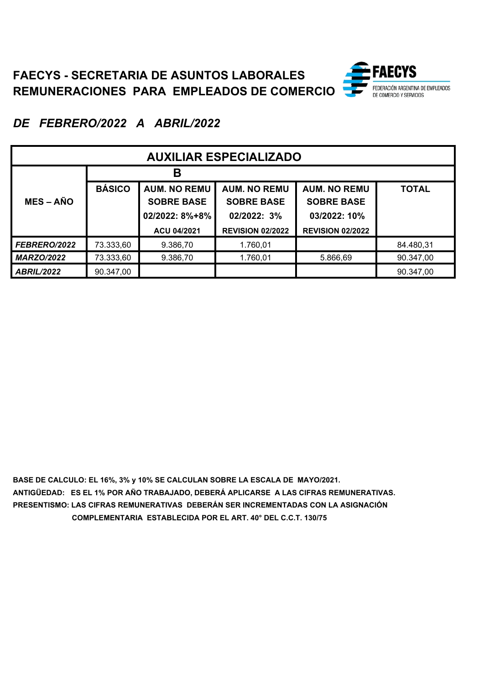

*DE FEBRERO/2022 A ABRIL/2022*

| <b>AUXILIAR ESPECIALIZADO</b> |               |                                          |                                          |                                          |              |  |  |  |
|-------------------------------|---------------|------------------------------------------|------------------------------------------|------------------------------------------|--------------|--|--|--|
|                               |               | В                                        |                                          |                                          |              |  |  |  |
| <b>MES-AÑO</b>                | <b>BÁSICO</b> | <b>AUM. NO REMU</b><br><b>SOBRE BASE</b> | <b>AUM. NO REMU</b><br><b>SOBRE BASE</b> | <b>AUM. NO REMU</b><br><b>SOBRE BASE</b> | <b>TOTAL</b> |  |  |  |
|                               |               | 02/2022: 8%+8%                           | 02/2022: 3%                              | 03/2022: 10%                             |              |  |  |  |
|                               |               | ACU 04/2021                              | <b>REVISION 02/2022</b>                  | <b>REVISION 02/2022</b>                  |              |  |  |  |
| <b>FEBRERO/2022</b>           | 73.333,60     | 9.386,70                                 | 1.760,01                                 |                                          | 84.480,31    |  |  |  |
| <b>MARZO/2022</b>             | 73.333,60     | 9.386,70                                 | 1.760,01                                 | 5.866,69                                 | 90.347,00    |  |  |  |
| <b>ABRIL/2022</b>             | 90.347,00     |                                          |                                          |                                          | 90.347,00    |  |  |  |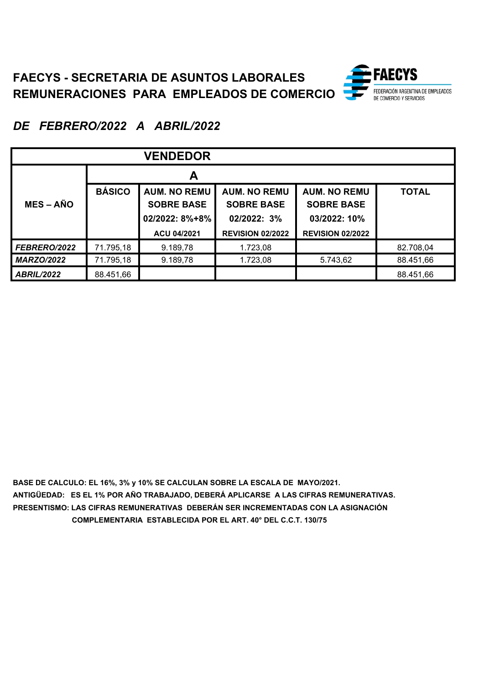

### *DE FEBRERO/2022 A ABRIL/2022*

| <b>VENDEDOR</b>   |               |                                          |                                          |                                          |              |  |  |
|-------------------|---------------|------------------------------------------|------------------------------------------|------------------------------------------|--------------|--|--|
|                   |               | A                                        |                                          |                                          |              |  |  |
| <b>MES-AÑO</b>    | <b>BÁSICO</b> | <b>AUM. NO REMU</b><br><b>SOBRE BASE</b> | <b>AUM. NO REMU</b><br><b>SOBRE BASE</b> | <b>AUM. NO REMU</b><br><b>SOBRE BASE</b> | <b>TOTAL</b> |  |  |
|                   |               | 02/2022: 8%+8%                           | 02/2022: 3%                              | 03/2022: 10%                             |              |  |  |
|                   |               | ACU 04/2021                              | <b>REVISION 02/2022</b>                  | <b>REVISION 02/2022</b>                  |              |  |  |
| FEBRERO/2022      | 71.795,18     | 9.189,78                                 | 1.723,08                                 |                                          | 82.708,04    |  |  |
| <b>MARZO/2022</b> | 71.795,18     | 9.189,78                                 | 1.723,08                                 | 5.743,62                                 | 88.451,66    |  |  |
| <b>ABRIL/2022</b> | 88.451,66     |                                          |                                          |                                          | 88.451,66    |  |  |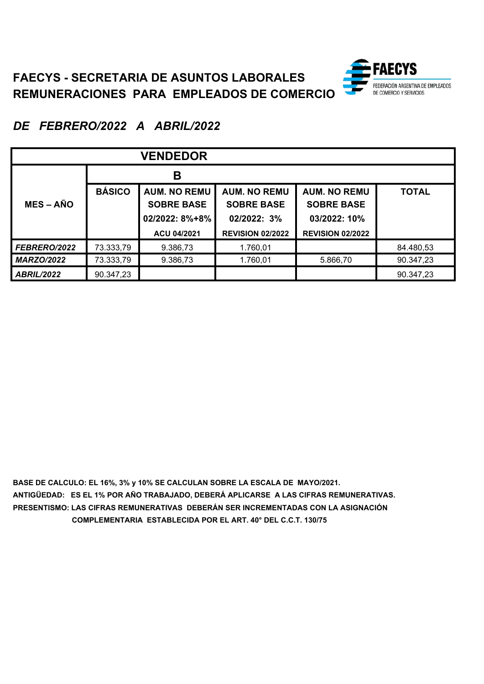

*DE FEBRERO/2022 A ABRIL/2022*

| <b>VENDEDOR</b>   |               |                                          |                                          |                                          |              |  |  |
|-------------------|---------------|------------------------------------------|------------------------------------------|------------------------------------------|--------------|--|--|
|                   |               | В                                        |                                          |                                          |              |  |  |
| <b>MES-AÑO</b>    | <b>BÁSICO</b> | <b>AUM. NO REMU</b><br><b>SOBRE BASE</b> | <b>AUM. NO REMU</b><br><b>SOBRE BASE</b> | <b>AUM. NO REMU</b><br><b>SOBRE BASE</b> | <b>TOTAL</b> |  |  |
|                   |               | 02/2022: 8%+8%                           | 02/2022: 3%                              | 03/2022: 10%                             |              |  |  |
|                   |               | ACU 04/2021                              | <b>REVISION 02/2022</b>                  | <b>REVISION 02/2022</b>                  |              |  |  |
| FEBRERO/2022      | 73.333,79     | 9.386,73                                 | 1.760,01                                 |                                          | 84.480,53    |  |  |
| <b>MARZO/2022</b> | 73.333,79     | 9.386,73                                 | 1.760,01                                 | 5.866,70                                 | 90.347,23    |  |  |
| <b>ABRIL/2022</b> | 90.347,23     |                                          |                                          |                                          | 90.347,23    |  |  |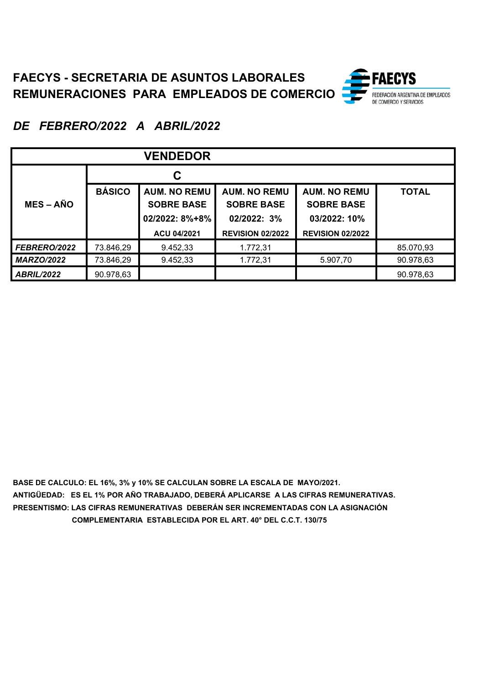

# *DE FEBRERO/2022 A ABRIL/2022*

| <b>VENDEDOR</b>     |               |                                                            |                                                         |                                                          |              |  |  |
|---------------------|---------------|------------------------------------------------------------|---------------------------------------------------------|----------------------------------------------------------|--------------|--|--|
|                     |               | С                                                          |                                                         |                                                          |              |  |  |
| $MES - AÑO$         | <b>BÁSICO</b> | <b>AUM. NO REMU</b><br><b>SOBRE BASE</b><br>02/2022: 8%+8% | <b>AUM. NO REMU</b><br><b>SOBRE BASE</b><br>02/2022: 3% | <b>AUM. NO REMU</b><br><b>SOBRE BASE</b><br>03/2022: 10% | <b>TOTAL</b> |  |  |
|                     |               | ACU 04/2021                                                | <b>REVISION 02/2022</b>                                 | <b>REVISION 02/2022</b>                                  |              |  |  |
| <b>FEBRERO/2022</b> | 73.846,29     | 9.452,33                                                   | 1.772,31                                                |                                                          | 85.070,93    |  |  |
| <b>MARZO/2022</b>   | 73.846,29     | 9.452,33                                                   | 1.772,31                                                | 5.907,70                                                 | 90.978,63    |  |  |
| <b>ABRIL/2022</b>   | 90.978,63     |                                                            |                                                         |                                                          | 90.978,63    |  |  |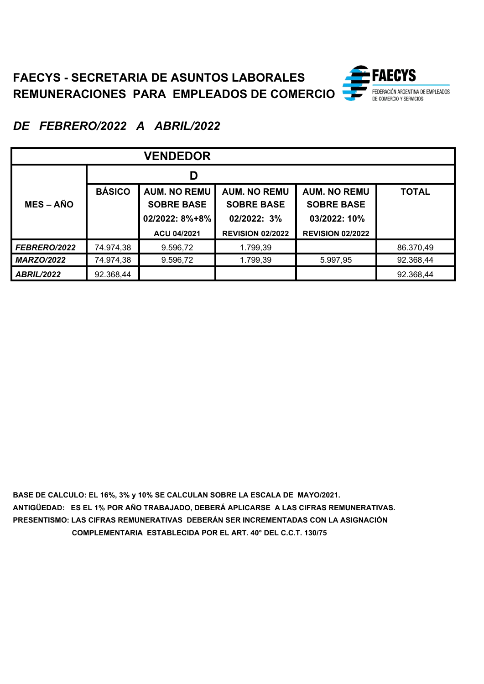

### *DE FEBRERO/2022 A ABRIL/2022*

| <b>VENDEDOR</b>   |               |                                          |                                          |                                          |              |  |  |
|-------------------|---------------|------------------------------------------|------------------------------------------|------------------------------------------|--------------|--|--|
|                   |               | D                                        |                                          |                                          |              |  |  |
| $MES - AÑO$       | <b>BÁSICO</b> | <b>AUM. NO REMU</b><br><b>SOBRE BASE</b> | <b>AUM. NO REMU</b><br><b>SOBRE BASE</b> | <b>AUM. NO REMU</b><br><b>SOBRE BASE</b> | <b>TOTAL</b> |  |  |
|                   |               | 02/2022: 8%+8%                           | 02/2022: 3%                              | 03/2022: 10%                             |              |  |  |
|                   |               | ACU 04/2021                              | <b>REVISION 02/2022</b>                  | <b>REVISION 02/2022</b>                  |              |  |  |
| FEBRERO/2022      | 74.974,38     | 9.596,72                                 | 1.799,39                                 |                                          | 86.370,49    |  |  |
| <b>MARZO/2022</b> | 74.974,38     | 9.596,72                                 | 1.799,39                                 | 5.997,95                                 | 92.368,44    |  |  |
| <b>ABRIL/2022</b> | 92.368,44     |                                          |                                          |                                          | 92.368,44    |  |  |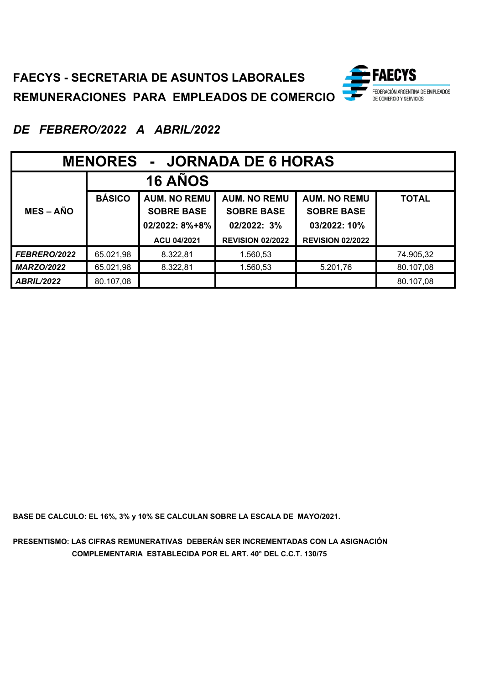

*DE FEBRERO/2022 A ABRIL/2022*

| <b>MENORES - JORNADA DE 6 HORAS</b> |               |                                          |                                          |                                          |              |  |  |
|-------------------------------------|---------------|------------------------------------------|------------------------------------------|------------------------------------------|--------------|--|--|
| <b>16 ANOS</b>                      |               |                                          |                                          |                                          |              |  |  |
| <b>MES-AÑO</b>                      | <b>BÁSICO</b> | <b>AUM. NO REMU</b><br><b>SOBRE BASE</b> | <b>AUM. NO REMU</b><br><b>SOBRE BASE</b> | <b>AUM. NO REMU</b><br><b>SOBRE BASE</b> | <b>TOTAL</b> |  |  |
|                                     |               | 02/2022: 8%+8%                           | 02/2022: 3%                              | 03/2022: 10%                             |              |  |  |
|                                     |               | ACU 04/2021                              | <b>REVISION 02/2022</b>                  | <b>REVISION 02/2022</b>                  |              |  |  |
| FEBRERO/2022                        | 65.021,98     | 8.322,81                                 | 1.560,53                                 |                                          | 74.905,32    |  |  |
| <b>MARZO/2022</b>                   | 65.021,98     | 8.322,81                                 | 1.560,53                                 | 5.201,76                                 | 80.107,08    |  |  |
| <b>ABRIL/2022</b>                   | 80.107,08     |                                          |                                          |                                          | 80.107,08    |  |  |

**BASE DE CALCULO: EL 16%, 3% y 10% SE CALCULAN SOBRE LA ESCALA DE MAYO/2021.**

**PRESENTISMO: LAS CIFRAS REMUNERATIVAS DEBERÁN SER INCREMENTADAS CON LA ASIGNACIÓN COMPLEMENTARIA ESTABLECIDA POR EL ART. 40° DEL C.C.T. 130/75**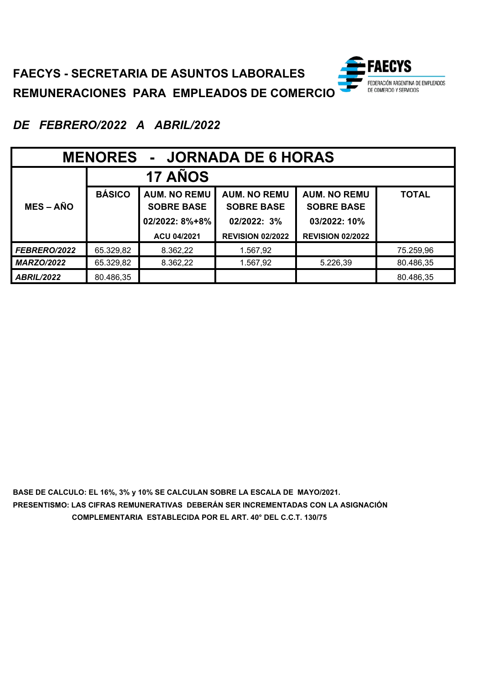

*DE FEBRERO/2022 A ABRIL/2022*

| <b>MENORES - JORNADA DE 6 HORAS</b> |               |                                          |                                          |                                          |              |  |  |
|-------------------------------------|---------------|------------------------------------------|------------------------------------------|------------------------------------------|--------------|--|--|
| <b>17 AÑOS</b>                      |               |                                          |                                          |                                          |              |  |  |
| $MES - AÑO$                         | <b>BÁSICO</b> | <b>AUM. NO REMU</b><br><b>SOBRE BASE</b> | <b>AUM. NO REMU</b><br><b>SOBRE BASE</b> | <b>AUM. NO REMU</b><br><b>SOBRE BASE</b> | <b>TOTAL</b> |  |  |
|                                     |               | 02/2022: 8%+8%                           | 02/2022: 3%                              | 03/2022: 10%                             |              |  |  |
|                                     |               | ACU 04/2021                              | <b>REVISION 02/2022</b>                  | <b>REVISION 02/2022</b>                  |              |  |  |
| <b>FEBRERO/2022</b>                 | 65.329,82     | 8.362,22                                 | 1.567,92                                 |                                          | 75.259,96    |  |  |
| <b>MARZO/2022</b>                   | 65.329,82     | 8.362,22                                 | 1.567,92                                 | 5.226,39                                 | 80.486,35    |  |  |
| <b>ABRIL/2022</b>                   | 80.486,35     |                                          |                                          |                                          | 80.486,35    |  |  |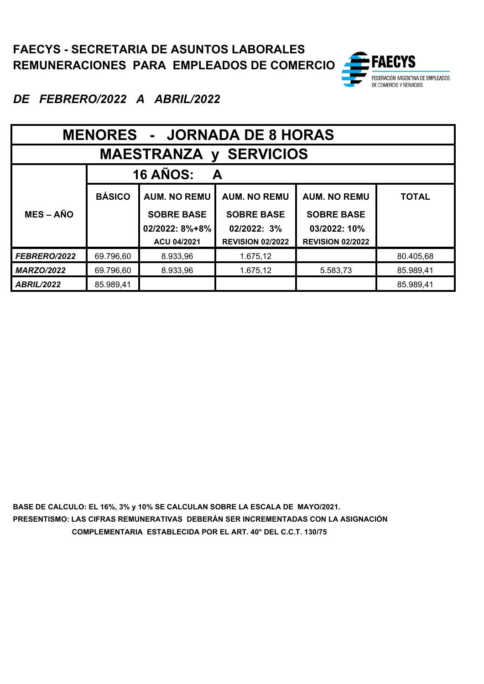

| <b>MENORES - JORNADA DE 8 HORAS</b> |               |                     |                         |                         |              |  |  |
|-------------------------------------|---------------|---------------------|-------------------------|-------------------------|--------------|--|--|
| <b>MAESTRANZA y SERVICIOS</b>       |               |                     |                         |                         |              |  |  |
| <b>16 AÑOS:</b><br><b>A</b>         |               |                     |                         |                         |              |  |  |
|                                     | <b>BÁSICO</b> | <b>AUM. NO REMU</b> | <b>AUM. NO REMU</b>     | <b>AUM. NO REMU</b>     | <b>TOTAL</b> |  |  |
| $MES - AÑO$                         |               | <b>SOBRE BASE</b>   | <b>SOBRE BASE</b>       | <b>SOBRE BASE</b>       |              |  |  |
|                                     |               | 02/2022: 8%+8%      | 02/2022: 3%             | 03/2022: 10%            |              |  |  |
|                                     |               | ACU 04/2021         | <b>REVISION 02/2022</b> | <b>REVISION 02/2022</b> |              |  |  |
| FEBRERO/2022                        | 69.796,60     | 8.933,96            | 1.675,12                |                         | 80.405,68    |  |  |
| <b>MARZO/2022</b>                   | 69.796,60     | 8.933,96            | 1.675,12                | 5.583,73                | 85.989,41    |  |  |
| <b>ABRIL/2022</b>                   | 85.989,41     |                     |                         |                         | 85.989,41    |  |  |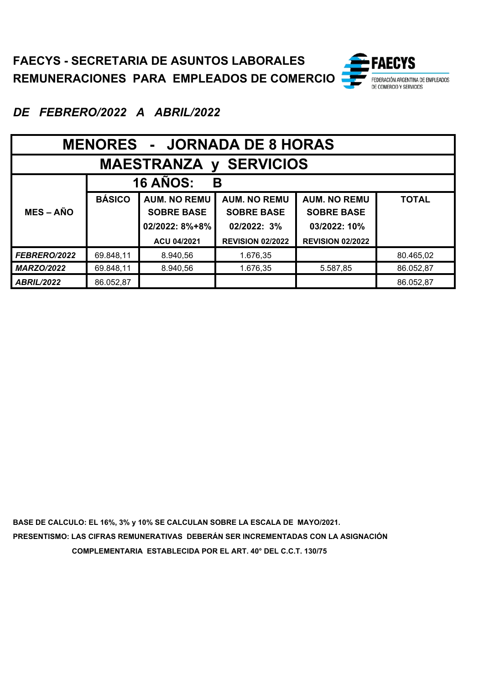

| <b>MENORES - JORNADA DE 8 HORAS</b> |               |                     |                         |                         |              |  |  |  |
|-------------------------------------|---------------|---------------------|-------------------------|-------------------------|--------------|--|--|--|
| <b>MAESTRANZA y SERVICIOS</b>       |               |                     |                         |                         |              |  |  |  |
| <b>16 AÑOS:</b><br>B                |               |                     |                         |                         |              |  |  |  |
|                                     | <b>BÁSICO</b> | <b>AUM. NO REMU</b> | <b>AUM. NO REMU</b>     | <b>AUM. NO REMU</b>     | <b>TOTAL</b> |  |  |  |
| $MES - AÑO$                         |               | <b>SOBRE BASE</b>   | <b>SOBRE BASE</b>       | <b>SOBRE BASE</b>       |              |  |  |  |
|                                     |               | 02/2022: 8%+8%      | 02/2022: 3%             | 03/2022: 10%            |              |  |  |  |
|                                     |               | ACU 04/2021         | <b>REVISION 02/2022</b> | <b>REVISION 02/2022</b> |              |  |  |  |
| FEBRERO/2022                        | 69.848,11     | 8.940,56            | 1.676,35                |                         | 80.465,02    |  |  |  |
| <b>MARZO/2022</b>                   | 69.848,11     | 8.940,56            | 1.676,35                | 5.587,85                | 86.052,87    |  |  |  |
| <b>ABRIL/2022</b>                   | 86.052,87     |                     |                         |                         | 86.052,87    |  |  |  |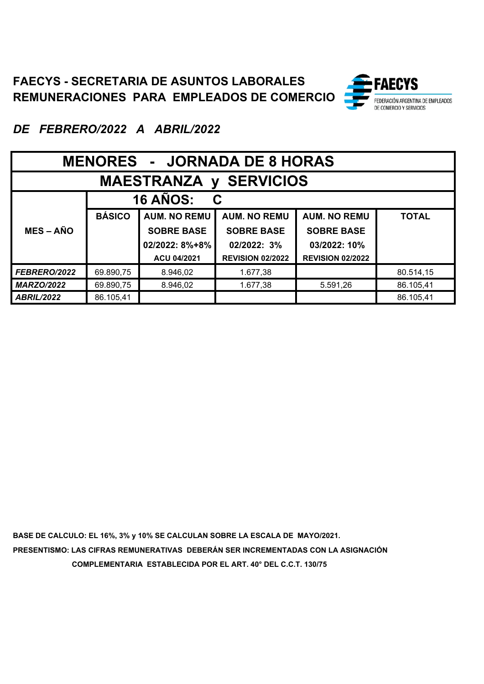

*DE FEBRERO/2022 A ABRIL/2022*

| <b>MENORES - JORNADA DE 8 HORAS</b> |               |                     |                         |                         |              |  |  |
|-------------------------------------|---------------|---------------------|-------------------------|-------------------------|--------------|--|--|
| <b>MAESTRANZA y SERVICIOS</b>       |               |                     |                         |                         |              |  |  |
| <b>16 AÑOS:</b><br>$\mathbf C$      |               |                     |                         |                         |              |  |  |
|                                     | <b>BÁSICO</b> | <b>AUM. NO REMU</b> | <b>AUM. NO REMU</b>     | <b>AUM. NO REMU</b>     | <b>TOTAL</b> |  |  |
| <b>MES-AÑO</b>                      |               | <b>SOBRE BASE</b>   | <b>SOBRE BASE</b>       | <b>SOBRE BASE</b>       |              |  |  |
|                                     |               | 02/2022: 8%+8%      | 02/2022: 3%             | 03/2022: 10%            |              |  |  |
|                                     |               | ACU 04/2021         | <b>REVISION 02/2022</b> | <b>REVISION 02/2022</b> |              |  |  |
| FEBRERO/2022                        | 69.890,75     | 8.946,02            | 1.677,38                |                         | 80.514,15    |  |  |
| <b>MARZO/2022</b>                   | 69.890,75     | 8.946,02            | 1.677,38                | 5.591,26                | 86.105,41    |  |  |
| <b>ABRIL/2022</b>                   | 86.105,41     |                     |                         |                         | 86.105,41    |  |  |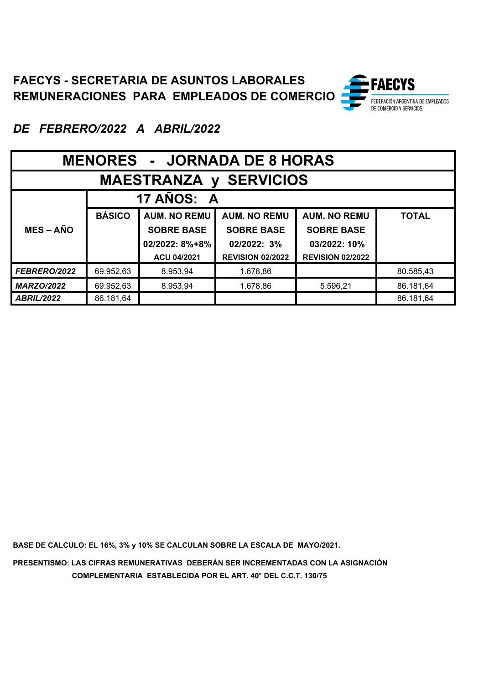

*DE FEBRERO/2022 A ABRIL/2022*

| <b>MENORES - JORNADA DE 8 HORAS</b> |               |                     |                         |                         |              |  |  |  |
|-------------------------------------|---------------|---------------------|-------------------------|-------------------------|--------------|--|--|--|
| <b>MAESTRANZA y SERVICIOS</b>       |               |                     |                         |                         |              |  |  |  |
| 17 AÑOS: A                          |               |                     |                         |                         |              |  |  |  |
|                                     | <b>BÁSICO</b> | <b>AUM. NO REMU</b> | <b>AUM. NO REMU</b>     | <b>AUM. NO REMU</b>     | <b>TOTAL</b> |  |  |  |
| $MES - AÑO$                         |               | <b>SOBRE BASE</b>   | <b>SOBRE BASE</b>       | <b>SOBRE BASE</b>       |              |  |  |  |
|                                     |               | 02/2022: 8%+8%      | 02/2022: 3%             | 03/2022: 10%            |              |  |  |  |
|                                     |               | ACU 04/2021         | <b>REVISION 02/2022</b> | <b>REVISION 02/2022</b> |              |  |  |  |
| FEBRERO/2022                        | 69.952,63     | 8.953,94            | 1.678,86                |                         | 80.585,43    |  |  |  |
| <b>MARZO/2022</b>                   | 69.952,63     | 8.953,94            | 1.678,86                | 5.596,21                | 86.181,64    |  |  |  |
| <b>ABRIL/2022</b>                   | 86.181,64     |                     |                         |                         | 86.181,64    |  |  |  |

**BASE DE CALCULO: EL 16%, 3% y 10% SE CALCULAN SOBRE LA ESCALA DE MAYO/2021.**

**PRESENTISMO: LAS CIFRAS REMUNERATIVAS DEBERÁN SER INCREMENTADAS CON LA ASIGNACIÓN COMPLEMENTARIA ESTABLECIDA POR EL ART. 40° DEL C.C.T. 130/75**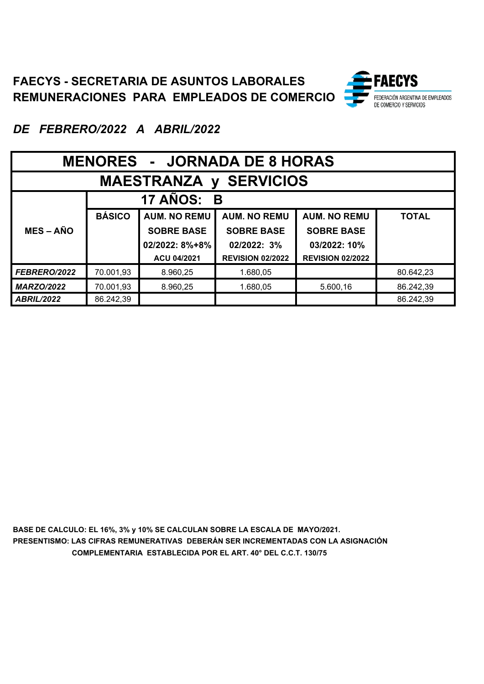

*DE FEBRERO/2022 A ABRIL/2022*

| <b>MENORES - JORNADA DE 8 HORAS</b> |               |                     |                         |                         |              |  |  |
|-------------------------------------|---------------|---------------------|-------------------------|-------------------------|--------------|--|--|
| <b>MAESTRANZA y SERVICIOS</b>       |               |                     |                         |                         |              |  |  |
| 17 AÑOS: B                          |               |                     |                         |                         |              |  |  |
|                                     | <b>BÁSICO</b> | <b>AUM. NO REMU</b> | <b>AUM. NO REMU</b>     | <b>AUM. NO REMU</b>     | <b>TOTAL</b> |  |  |
| $MES - AÑO$                         |               | <b>SOBRE BASE</b>   | <b>SOBRE BASE</b>       | <b>SOBRE BASE</b>       |              |  |  |
|                                     |               | 02/2022: 8%+8%      | 02/2022: 3%             | 03/2022: 10%            |              |  |  |
|                                     |               | ACU 04/2021         | <b>REVISION 02/2022</b> | <b>REVISION 02/2022</b> |              |  |  |
| FEBRERO/2022                        | 70.001,93     | 8.960,25            | 1.680,05                |                         | 80.642,23    |  |  |
| <b>MARZO/2022</b>                   | 70.001,93     | 8.960,25            | 1.680,05                | 5.600,16                | 86.242,39    |  |  |
| <b>ABRIL/2022</b>                   | 86.242,39     |                     |                         |                         | 86.242,39    |  |  |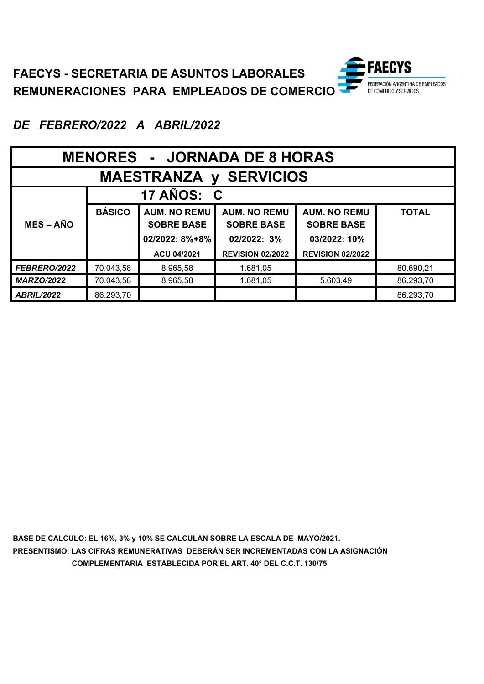#### **FAECYS FAECYS - SECRETARIA DE ASUNTOS LABORALES** FEDERACIÓN ARGENTINA DE EMPLEADOS **REMUNERACIONES PARA EMPLEADOS DE COMERCIO** DE COMERCIO Y SERVICIOS

# *DE FEBRERO/2022 A ABRIL/2022*

| <b>MENORES - JORNADA DE 8 HORAS</b> |               |                     |                         |                         |              |  |  |  |
|-------------------------------------|---------------|---------------------|-------------------------|-------------------------|--------------|--|--|--|
| <b>MAESTRANZA y SERVICIOS</b>       |               |                     |                         |                         |              |  |  |  |
| 17 AÑOS: C                          |               |                     |                         |                         |              |  |  |  |
|                                     | <b>BÁSICO</b> | <b>AUM. NO REMU</b> | <b>AUM. NO REMU</b>     | <b>AUM. NO REMU</b>     | <b>TOTAL</b> |  |  |  |
| <b>MES-AÑO</b>                      |               | <b>SOBRE BASE</b>   | <b>SOBRE BASE</b>       | <b>SOBRE BASE</b>       |              |  |  |  |
|                                     |               | 02/2022: 8%+8%      | 02/2022: 3%             | 03/2022: 10%            |              |  |  |  |
|                                     |               | ACU 04/2021         | <b>REVISION 02/2022</b> | <b>REVISION 02/2022</b> |              |  |  |  |
| <b>FEBRERO/2022</b>                 | 70.043,58     | 8.965,58            | 1.681,05                |                         | 80.690,21    |  |  |  |
| <b>MARZO/2022</b>                   | 70.043,58     | 8.965,58            | 1.681,05                | 5.603,49                | 86.293,70    |  |  |  |
| <b>ABRIL/2022</b>                   | 86.293,70     |                     |                         |                         | 86.293,70    |  |  |  |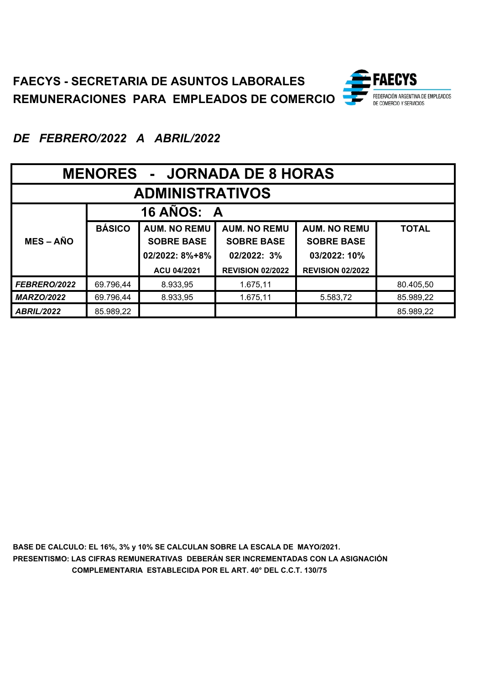

| <b>MENORES - JORNADA DE 8 HORAS</b> |               |                     |                         |                         |              |  |  |
|-------------------------------------|---------------|---------------------|-------------------------|-------------------------|--------------|--|--|
| <b>ADMINISTRATIVOS</b>              |               |                     |                         |                         |              |  |  |
| 16 AÑOS: A                          |               |                     |                         |                         |              |  |  |
|                                     | <b>BÁSICO</b> | <b>AUM. NO REMU</b> | <b>AUM. NO REMU</b>     | <b>AUM. NO REMU</b>     | <b>TOTAL</b> |  |  |
| <b>MES-AÑO</b>                      |               | <b>SOBRE BASE</b>   | <b>SOBRE BASE</b>       | <b>SOBRE BASE</b>       |              |  |  |
|                                     |               | 02/2022: 8%+8%      | 02/2022: 3%             | 03/2022: 10%            |              |  |  |
|                                     |               | ACU 04/2021         | <b>REVISION 02/2022</b> | <b>REVISION 02/2022</b> |              |  |  |
| FEBRERO/2022                        | 69.796,44     | 8.933,95            | 1.675,11                |                         | 80.405,50    |  |  |
| <b>MARZO/2022</b>                   | 69.796,44     | 8.933,95            | 1.675,11                | 5.583,72                | 85.989,22    |  |  |
| <b>ABRIL/2022</b>                   | 85.989,22     |                     |                         |                         | 85.989,22    |  |  |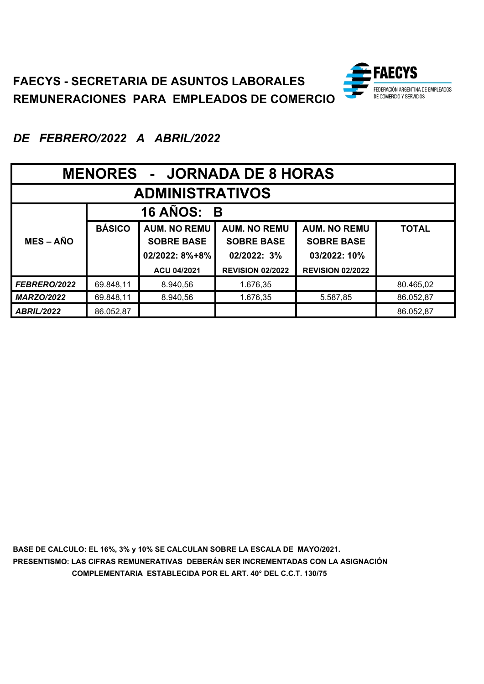

| <b>MENORES - JORNADA DE 8 HORAS</b> |               |                     |                         |                         |              |  |  |
|-------------------------------------|---------------|---------------------|-------------------------|-------------------------|--------------|--|--|
| <b>ADMINISTRATIVOS</b>              |               |                     |                         |                         |              |  |  |
| <b>16 AÑOS: B</b>                   |               |                     |                         |                         |              |  |  |
|                                     | <b>BÁSICO</b> | <b>AUM. NO REMU</b> | <b>AUM. NO REMU</b>     | <b>AUM. NO REMU</b>     | <b>TOTAL</b> |  |  |
| <b>MES-AÑO</b>                      |               | <b>SOBRE BASE</b>   | <b>SOBRE BASE</b>       | <b>SOBRE BASE</b>       |              |  |  |
|                                     |               | 02/2022: 8%+8%      | 02/2022: 3%             | 03/2022: 10%            |              |  |  |
|                                     |               | ACU 04/2021         | <b>REVISION 02/2022</b> | <b>REVISION 02/2022</b> |              |  |  |
| FEBRERO/2022                        | 69.848,11     | 8.940,56            | 1.676,35                |                         | 80.465,02    |  |  |
| <b>MARZO/2022</b>                   | 69.848,11     | 8.940,56            | 1.676,35                | 5.587,85                | 86.052,87    |  |  |
| <b>ABRIL/2022</b>                   | 86.052,87     |                     |                         |                         | 86.052,87    |  |  |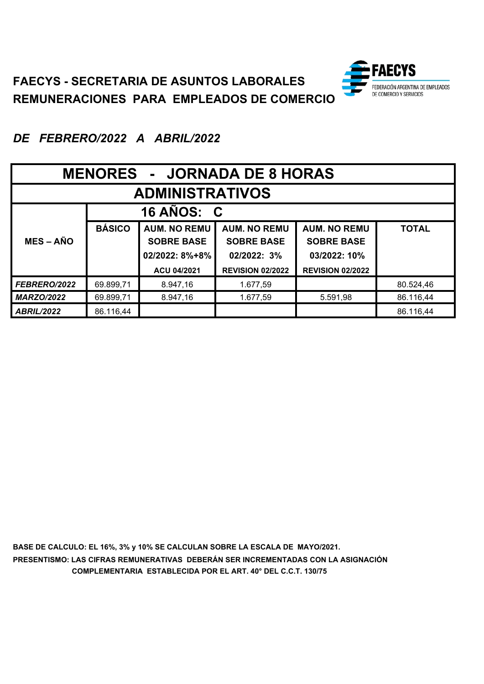

## *DE FEBRERO/2022 A ABRIL/2022*

| <b>MENORES - JORNADA DE 8 HORAS</b> |               |                     |                         |                         |              |  |  |
|-------------------------------------|---------------|---------------------|-------------------------|-------------------------|--------------|--|--|
| <b>ADMINISTRATIVOS</b>              |               |                     |                         |                         |              |  |  |
| 16 AÑOS: C                          |               |                     |                         |                         |              |  |  |
|                                     | <b>BÁSICO</b> | <b>AUM. NO REMU</b> | <b>AUM. NO REMU</b>     | <b>AUM. NO REMU</b>     | <b>TOTAL</b> |  |  |
| <b>MES-AÑO</b>                      |               | <b>SOBRE BASE</b>   | <b>SOBRE BASE</b>       | <b>SOBRE BASE</b>       |              |  |  |
|                                     |               | 02/2022: 8%+8%      | 02/2022: 3%             | 03/2022: 10%            |              |  |  |
|                                     |               | ACU 04/2021         | <b>REVISION 02/2022</b> | <b>REVISION 02/2022</b> |              |  |  |
| <b>FEBRERO/2022</b>                 | 69.899,71     | 8.947,16            | 1.677,59                |                         | 80.524,46    |  |  |
| <b>MARZO/2022</b>                   | 69.899,71     | 8.947,16            | 1.677,59                | 5.591,98                | 86.116,44    |  |  |
| <b>ABRIL/2022</b>                   | 86.116,44     |                     |                         |                         | 86.116,44    |  |  |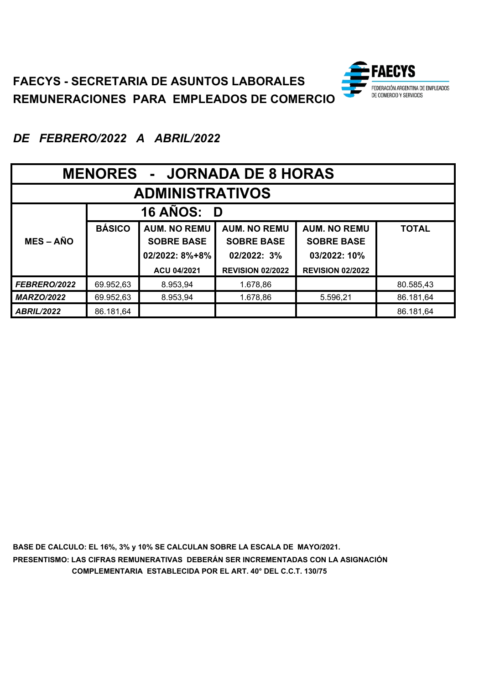

| <b>MENORES - JORNADA DE 8 HORAS</b> |               |                     |                         |                         |              |  |  |  |
|-------------------------------------|---------------|---------------------|-------------------------|-------------------------|--------------|--|--|--|
| <b>ADMINISTRATIVOS</b>              |               |                     |                         |                         |              |  |  |  |
| 16 AÑOS: D                          |               |                     |                         |                         |              |  |  |  |
|                                     | <b>BÁSICO</b> | <b>AUM. NO REMU</b> | <b>AUM. NO REMU</b>     | <b>AUM. NO REMU</b>     | <b>TOTAL</b> |  |  |  |
| <b>MES-AÑO</b>                      |               | <b>SOBRE BASE</b>   | <b>SOBRE BASE</b>       | <b>SOBRE BASE</b>       |              |  |  |  |
|                                     |               | 02/2022: 8%+8%      | 02/2022: 3%             | 03/2022: 10%            |              |  |  |  |
|                                     |               | ACU 04/2021         | <b>REVISION 02/2022</b> | <b>REVISION 02/2022</b> |              |  |  |  |
| FEBRERO/2022                        | 69.952,63     | 8.953,94            | 1.678,86                |                         | 80.585,43    |  |  |  |
| <b>MARZO/2022</b>                   | 69.952,63     | 8.953,94            | 1.678,86                | 5.596,21                | 86.181,64    |  |  |  |
| <b>ABRIL/2022</b>                   | 86.181,64     |                     |                         |                         | 86.181,64    |  |  |  |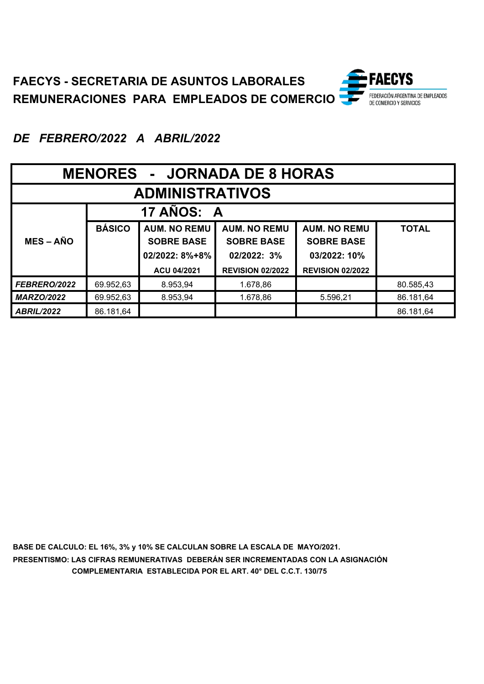

| <b>MENORES - JORNADA DE 8 HORAS</b> |               |                     |                         |                         |              |  |  |
|-------------------------------------|---------------|---------------------|-------------------------|-------------------------|--------------|--|--|
| <b>ADMINISTRATIVOS</b>              |               |                     |                         |                         |              |  |  |
| 17 AÑOS: A                          |               |                     |                         |                         |              |  |  |
|                                     | <b>BÁSICO</b> | <b>AUM. NO REMU</b> | <b>AUM. NO REMU</b>     | <b>AUM. NO REMU</b>     | <b>TOTAL</b> |  |  |
| <b>MES-AÑO</b>                      |               | <b>SOBRE BASE</b>   | <b>SOBRE BASE</b>       | <b>SOBRE BASE</b>       |              |  |  |
|                                     |               | 02/2022: 8%+8%      | 02/2022: 3%             | 03/2022: 10%            |              |  |  |
|                                     |               | ACU 04/2021         | <b>REVISION 02/2022</b> | <b>REVISION 02/2022</b> |              |  |  |
| FEBRERO/2022                        | 69.952,63     | 8.953,94            | 1.678,86                |                         | 80.585,43    |  |  |
| <b>MARZO/2022</b>                   | 69.952,63     | 8.953,94            | 1.678,86                | 5.596,21                | 86.181,64    |  |  |
| <b>ABRIL/2022</b>                   | 86.181,64     |                     |                         |                         | 86.181,64    |  |  |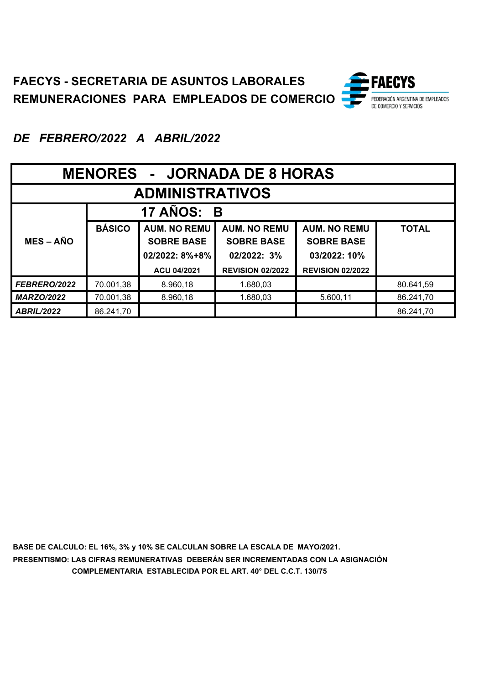

| <b>MENORES - JORNADA DE 8 HORAS</b> |               |                     |                         |                         |              |  |  |
|-------------------------------------|---------------|---------------------|-------------------------|-------------------------|--------------|--|--|
| <b>ADMINISTRATIVOS</b>              |               |                     |                         |                         |              |  |  |
| 17 AÑOS: B                          |               |                     |                         |                         |              |  |  |
|                                     | <b>BÁSICO</b> | <b>AUM. NO REMU</b> | <b>AUM. NO REMU</b>     | <b>AUM. NO REMU</b>     | <b>TOTAL</b> |  |  |
| <b>MES-AÑO</b>                      |               | <b>SOBRE BASE</b>   | <b>SOBRE BASE</b>       | <b>SOBRE BASE</b>       |              |  |  |
|                                     |               | 02/2022: 8%+8%      | 02/2022: 3%             | 03/2022: 10%            |              |  |  |
|                                     |               | ACU 04/2021         | <b>REVISION 02/2022</b> | <b>REVISION 02/2022</b> |              |  |  |
| FEBRERO/2022                        | 70.001,38     | 8.960,18            | 1.680,03                |                         | 80.641,59    |  |  |
| <b>MARZO/2022</b>                   | 70.001,38     | 8.960,18            | 1.680,03                | 5.600,11                | 86.241,70    |  |  |
| <b>ABRIL/2022</b>                   | 86.241,70     |                     |                         |                         | 86.241,70    |  |  |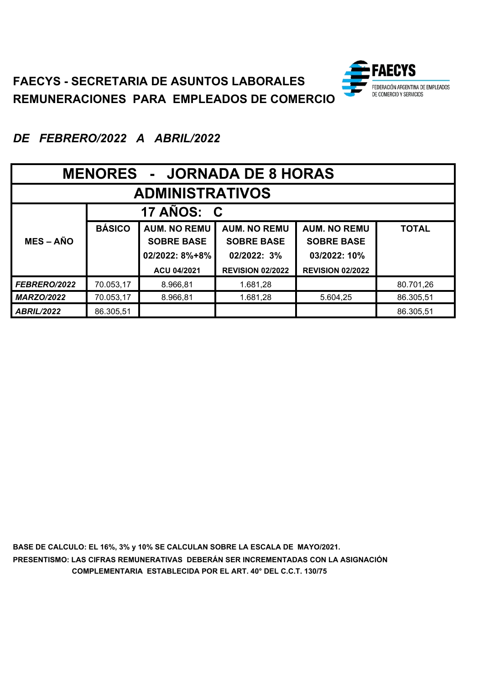

| <b>MENORES - JORNADA DE 8 HORAS</b> |               |                     |                         |                         |              |  |  |  |
|-------------------------------------|---------------|---------------------|-------------------------|-------------------------|--------------|--|--|--|
| <b>ADMINISTRATIVOS</b>              |               |                     |                         |                         |              |  |  |  |
| 17 AÑOS: C                          |               |                     |                         |                         |              |  |  |  |
|                                     | <b>BÁSICO</b> | <b>AUM. NO REMU</b> | <b>AUM. NO REMU</b>     | <b>AUM. NO REMU</b>     | <b>TOTAL</b> |  |  |  |
| <b>MES-AÑO</b>                      |               | <b>SOBRE BASE</b>   | <b>SOBRE BASE</b>       | <b>SOBRE BASE</b>       |              |  |  |  |
|                                     |               | 02/2022: 8%+8%      | 02/2022: 3%             | 03/2022: 10%            |              |  |  |  |
|                                     |               | ACU 04/2021         | <b>REVISION 02/2022</b> | <b>REVISION 02/2022</b> |              |  |  |  |
| <b>FEBRERO/2022</b>                 | 70.053,17     | 8.966,81            | 1.681,28                |                         | 80.701,26    |  |  |  |
| <b>MARZO/2022</b>                   | 70.053,17     | 8.966,81            | 1.681,28                | 5.604,25                | 86.305,51    |  |  |  |
| <b>ABRIL/2022</b>                   | 86.305,51     |                     |                         |                         | 86.305,51    |  |  |  |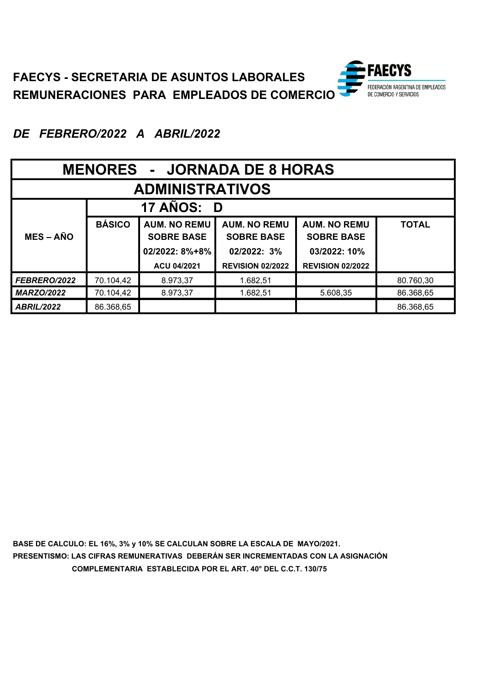

| <b>MENORES - JORNADA DE 8 HORAS</b> |               |                     |                         |                         |              |
|-------------------------------------|---------------|---------------------|-------------------------|-------------------------|--------------|
| <b>ADMINISTRATIVOS</b>              |               |                     |                         |                         |              |
| 17 AÑOS: D                          |               |                     |                         |                         |              |
|                                     | <b>BÁSICO</b> | <b>AUM. NO REMU</b> | <b>AUM. NO REMU</b>     | <b>AUM. NO REMU</b>     | <b>TOTAL</b> |
| <b>MES – AÑO</b>                    |               | <b>SOBRE BASE</b>   | <b>SOBRE BASE</b>       | <b>SOBRE BASE</b>       |              |
|                                     |               | 02/2022: 8%+8%      | 02/2022: 3%             | 03/2022: 10%            |              |
|                                     |               | ACU 04/2021         | <b>REVISION 02/2022</b> | <b>REVISION 02/2022</b> |              |
| FEBRERO/2022                        | 70.104,42     | 8.973,37            | 1.682,51                |                         | 80.760,30    |
| <b>MARZO/2022</b>                   | 70.104,42     | 8.973,37            | 1.682,51                | 5.608,35                | 86.368,65    |
| <b>ABRIL/2022</b>                   | 86.368,65     |                     |                         |                         | 86.368,65    |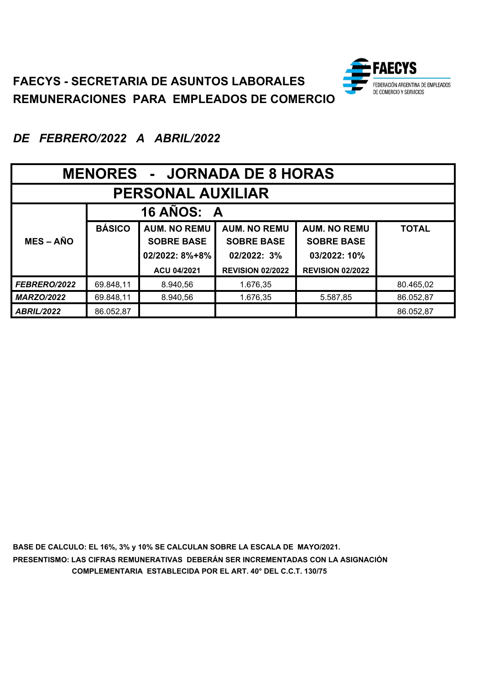

## *DE FEBRERO/2022 A ABRIL/2022*

| <b>MENORES - JORNADA DE 8 HORAS</b> |               |                     |                         |                         |              |
|-------------------------------------|---------------|---------------------|-------------------------|-------------------------|--------------|
| <b>PERSONAL AUXILIAR</b>            |               |                     |                         |                         |              |
| 16 AÑOS: A                          |               |                     |                         |                         |              |
|                                     | <b>BÁSICO</b> | <b>AUM. NO REMU</b> | <b>AUM. NO REMU</b>     | <b>AUM. NO REMU</b>     | <b>TOTAL</b> |
| <b>MES – AÑO</b>                    |               | <b>SOBRE BASE</b>   | <b>SOBRE BASE</b>       | <b>SOBRE BASE</b>       |              |
|                                     |               | 02/2022: 8%+8%      | 02/2022: 3%             | 03/2022: 10%            |              |
|                                     |               | ACU 04/2021         | <b>REVISION 02/2022</b> | <b>REVISION 02/2022</b> |              |
| FEBRERO/2022                        | 69.848,11     | 8.940,56            | 1.676,35                |                         | 80.465,02    |
| <b>MARZO/2022</b>                   | 69.848,11     | 8.940,56            | 1.676,35                | 5.587,85                | 86.052,87    |
| <b>ABRIL/2022</b>                   | 86.052,87     |                     |                         |                         | 86.052,87    |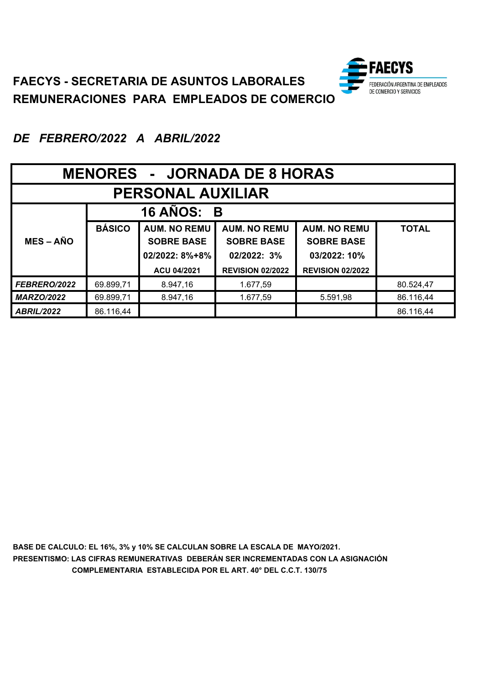

## *DE FEBRERO/2022 A ABRIL/2022*

| <b>MENORES - JORNADA DE 8 HORAS</b> |               |                     |                         |                         |              |
|-------------------------------------|---------------|---------------------|-------------------------|-------------------------|--------------|
| <b>PERSONAL AUXILIAR</b>            |               |                     |                         |                         |              |
| 16 AÑOS: B                          |               |                     |                         |                         |              |
|                                     | <b>BÁSICO</b> | <b>AUM. NO REMU</b> | <b>AUM. NO REMU</b>     | <b>AUM. NO REMU</b>     | <b>TOTAL</b> |
| <b>MES – AÑO</b>                    |               | <b>SOBRE BASE</b>   | <b>SOBRE BASE</b>       | <b>SOBRE BASE</b>       |              |
|                                     |               | 02/2022: 8%+8%      | 02/2022: 3%             | 03/2022: 10%            |              |
|                                     |               | ACU 04/2021         | <b>REVISION 02/2022</b> | <b>REVISION 02/2022</b> |              |
| FEBRERO/2022                        | 69.899,71     | 8.947,16            | 1.677,59                |                         | 80.524,47    |
| <b>MARZO/2022</b>                   | 69.899,71     | 8.947,16            | 1.677,59                | 5.591,98                | 86.116,44    |
| <b>ABRIL/2022</b>                   | 86.116,44     |                     |                         |                         | 86.116,44    |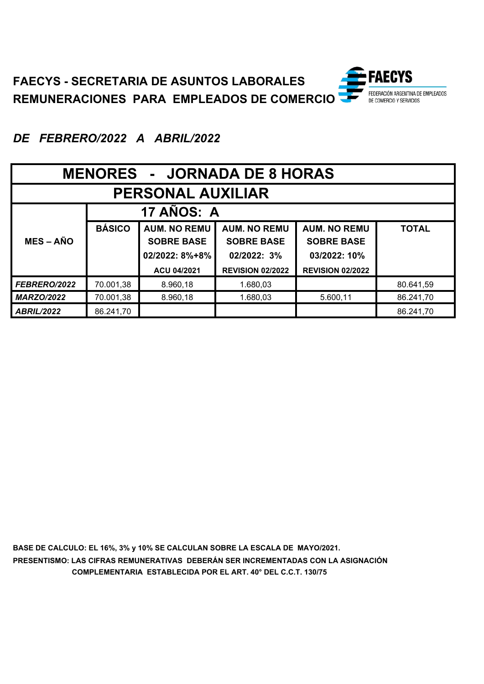

| <b>MENORES - JORNADA DE 8 HORAS</b> |               |                     |                         |                         |              |
|-------------------------------------|---------------|---------------------|-------------------------|-------------------------|--------------|
| <b>PERSONAL AUXILIAR</b>            |               |                     |                         |                         |              |
| 17 AÑOS: A                          |               |                     |                         |                         |              |
|                                     | <b>BÁSICO</b> | <b>AUM. NO REMU</b> | <b>AUM. NO REMU</b>     | <b>AUM. NO REMU</b>     | <b>TOTAL</b> |
| <b>MES-AÑO</b>                      |               | <b>SOBRE BASE</b>   | <b>SOBRE BASE</b>       | <b>SOBRE BASE</b>       |              |
|                                     |               | 02/2022: 8%+8%      | 02/2022: 3%             | 03/2022: 10%            |              |
|                                     |               | ACU 04/2021         | <b>REVISION 02/2022</b> | <b>REVISION 02/2022</b> |              |
| FEBRERO/2022                        | 70.001,38     | 8.960,18            | 1.680,03                |                         | 80.641,59    |
| <b>MARZO/2022</b>                   | 70.001,38     | 8.960,18            | 1.680,03                | 5.600,11                | 86.241,70    |
| <b>ABRIL/2022</b>                   | 86.241,70     |                     |                         |                         | 86.241,70    |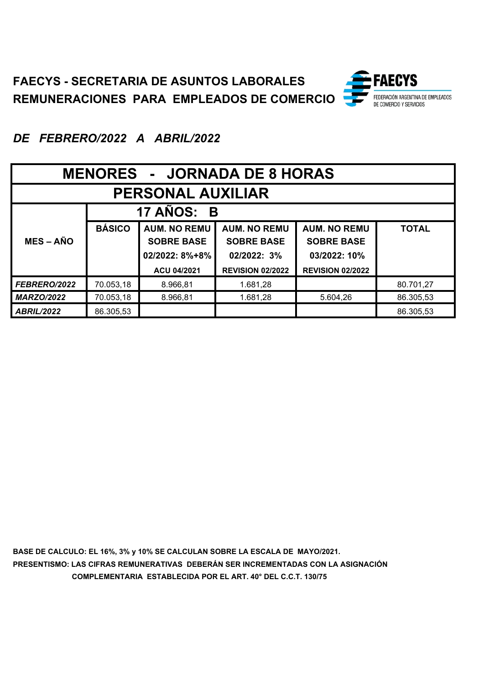

| <b>MENORES - JORNADA DE 8 HORAS</b> |               |                     |                         |                         |              |
|-------------------------------------|---------------|---------------------|-------------------------|-------------------------|--------------|
| <b>PERSONAL AUXILIAR</b>            |               |                     |                         |                         |              |
| 17 AÑOS: B                          |               |                     |                         |                         |              |
|                                     | <b>BÁSICO</b> | <b>AUM. NO REMU</b> | <b>AUM. NO REMU</b>     | <b>AUM. NO REMU</b>     | <b>TOTAL</b> |
| <b>MES-AÑO</b>                      |               | <b>SOBRE BASE</b>   | <b>SOBRE BASE</b>       | <b>SOBRE BASE</b>       |              |
|                                     |               | 02/2022: 8%+8%      | 02/2022: 3%             | 03/2022: 10%            |              |
|                                     |               | ACU 04/2021         | <b>REVISION 02/2022</b> | <b>REVISION 02/2022</b> |              |
| FEBRERO/2022                        | 70.053,18     | 8.966,81            | 1.681,28                |                         | 80.701,27    |
| <b>MARZO/2022</b>                   | 70.053,18     | 8.966,81            | 1.681,28                | 5.604,26                | 86.305,53    |
| <b>ABRIL/2022</b>                   | 86.305,53     |                     |                         |                         | 86.305,53    |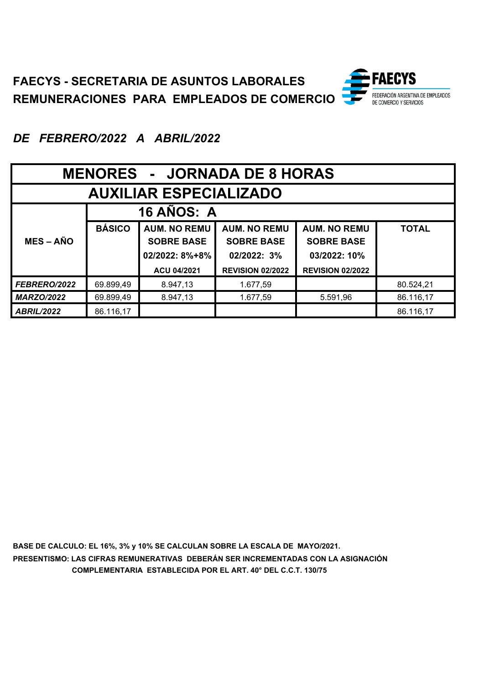

| <b>MENORES - JORNADA DE 8 HORAS</b> |               |                     |                         |                         |              |
|-------------------------------------|---------------|---------------------|-------------------------|-------------------------|--------------|
| <b>AUXILIAR ESPECIALIZADO</b>       |               |                     |                         |                         |              |
| <b>16 AÑOS: A</b>                   |               |                     |                         |                         |              |
|                                     | <b>BÁSICO</b> | <b>AUM. NO REMU</b> | <b>AUM. NO REMU</b>     | <b>AUM. NO REMU</b>     | <b>TOTAL</b> |
| <b>MES-AÑO</b>                      |               | <b>SOBRE BASE</b>   | <b>SOBRE BASE</b>       | <b>SOBRE BASE</b>       |              |
|                                     |               | 02/2022: 8%+8%      | 02/2022: 3%             | 03/2022: 10%            |              |
|                                     |               | ACU 04/2021         | <b>REVISION 02/2022</b> | <b>REVISION 02/2022</b> |              |
| FEBRERO/2022                        | 69.899,49     | 8.947,13            | 1.677,59                |                         | 80.524,21    |
| <b>MARZO/2022</b>                   | 69.899,49     | 8.947,13            | 1.677,59                | 5.591,96                | 86.116,17    |
| <b>ABRIL/2022</b>                   | 86.116,17     |                     |                         |                         | 86.116,17    |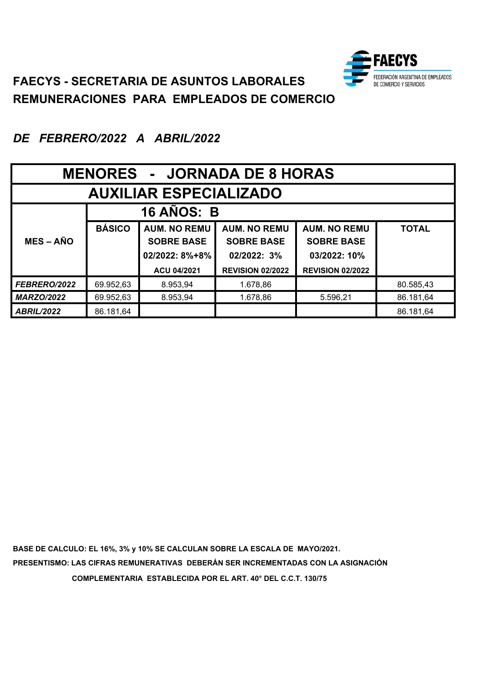

# *DE FEBRERO/2022 A ABRIL/2022*

| <b>MENORES - JORNADA DE 8 HORAS</b> |               |                     |                         |                         |              |
|-------------------------------------|---------------|---------------------|-------------------------|-------------------------|--------------|
| <b>AUXILIAR ESPECIALIZADO</b>       |               |                     |                         |                         |              |
| <b>16 AÑOS: B</b>                   |               |                     |                         |                         |              |
|                                     | <b>BÁSICO</b> | <b>AUM. NO REMU</b> | <b>AUM. NO REMU</b>     | <b>AUM. NO REMU</b>     | <b>TOTAL</b> |
| <b>MES-AÑO</b>                      |               | <b>SOBRE BASE</b>   | <b>SOBRE BASE</b>       | <b>SOBRE BASE</b>       |              |
|                                     |               | 02/2022: 8%+8%      | 02/2022: 3%             | 03/2022: 10%            |              |
|                                     |               | <b>ACU 04/2021</b>  | <b>REVISION 02/2022</b> | <b>REVISION 02/2022</b> |              |
| FEBRERO/2022                        | 69.952,63     | 8.953,94            | 1.678,86                |                         | 80.585,43    |
| <b>MARZO/2022</b>                   | 69.952,63     | 8.953,94            | 1.678,86                | 5.596,21                | 86.181,64    |
| <b>ABRIL/2022</b>                   | 86.181,64     |                     |                         |                         | 86.181,64    |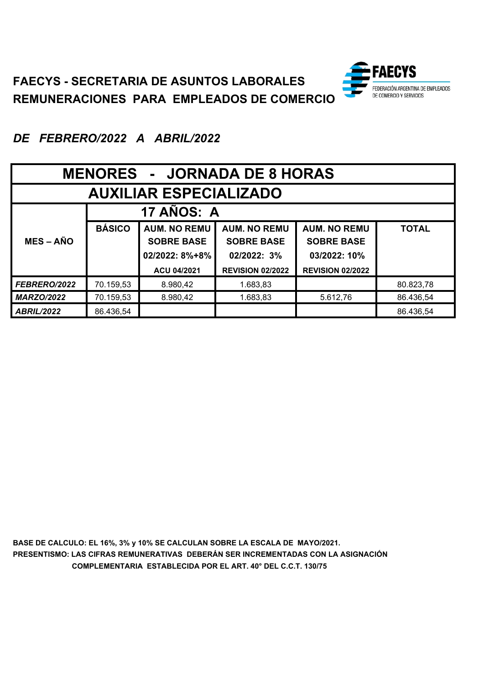

# *DE FEBRERO/2022 A ABRIL/2022*

| <b>MENORES - JORNADA DE 8 HORAS</b> |               |                     |                         |                         |              |
|-------------------------------------|---------------|---------------------|-------------------------|-------------------------|--------------|
| <b>AUXILIAR ESPECIALIZADO</b>       |               |                     |                         |                         |              |
| 17 ANOS: A                          |               |                     |                         |                         |              |
|                                     | <b>BÁSICO</b> | <b>AUM. NO REMU</b> | <b>AUM. NO REMU</b>     | <b>AUM. NO REMU</b>     | <b>TOTAL</b> |
| <b>MES-AÑO</b>                      |               | <b>SOBRE BASE</b>   | <b>SOBRE BASE</b>       | <b>SOBRE BASE</b>       |              |
|                                     |               | 02/2022: 8%+8%      | 02/2022: 3%             | 03/2022: 10%            |              |
|                                     |               | ACU 04/2021         | <b>REVISION 02/2022</b> | <b>REVISION 02/2022</b> |              |
| FEBRERO/2022                        | 70.159,53     | 8.980,42            | 1.683,83                |                         | 80.823,78    |
| <b>MARZO/2022</b>                   | 70.159,53     | 8.980,42            | 1.683,83                | 5.612,76                | 86.436,54    |
| <b>ABRIL/2022</b>                   | 86.436,54     |                     |                         |                         | 86.436,54    |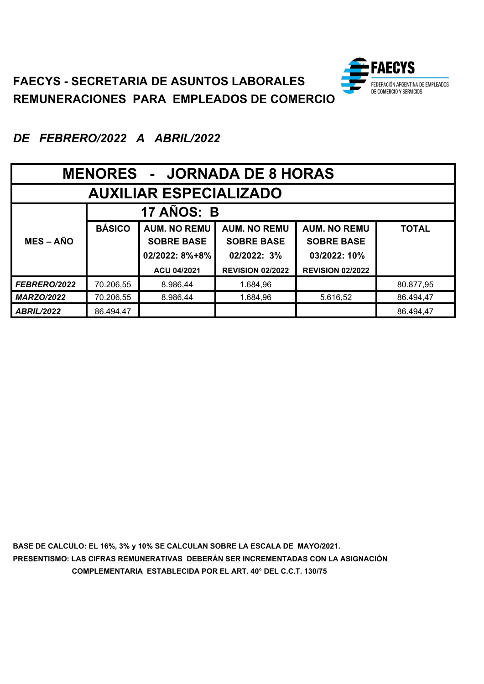

## *DE FEBRERO/2022 A ABRIL/2022*

| <b>MENORES - JORNADA DE 8 HORAS</b> |               |                                          |                                          |                                          |              |
|-------------------------------------|---------------|------------------------------------------|------------------------------------------|------------------------------------------|--------------|
| <b>AUXILIAR ESPECIALIZADO</b>       |               |                                          |                                          |                                          |              |
| <b>17 AÑOS: B</b>                   |               |                                          |                                          |                                          |              |
| <b>MES-AÑO</b>                      | <b>BÁSICO</b> | <b>AUM. NO REMU</b><br><b>SOBRE BASE</b> | <b>AUM. NO REMU</b><br><b>SOBRE BASE</b> | <b>AUM. NO REMU</b><br><b>SOBRE BASE</b> | <b>TOTAL</b> |
|                                     |               | 02/2022: 8%+8%                           | 02/2022: 3%                              | 03/2022: 10%                             |              |
|                                     |               | ACU 04/2021                              | <b>REVISION 02/2022</b>                  | <b>REVISION 02/2022</b>                  |              |
| FEBRERO/2022                        | 70.206,55     | 8.986,44                                 | 1.684,96                                 |                                          | 80.877,95    |
| <b>MARZO/2022</b>                   | 70.206,55     | 8.986,44                                 | 1.684,96                                 | 5.616,52                                 | 86.494,47    |
| <b>ABRIL/2022</b>                   | 86.494,47     |                                          |                                          |                                          | 86.494,47    |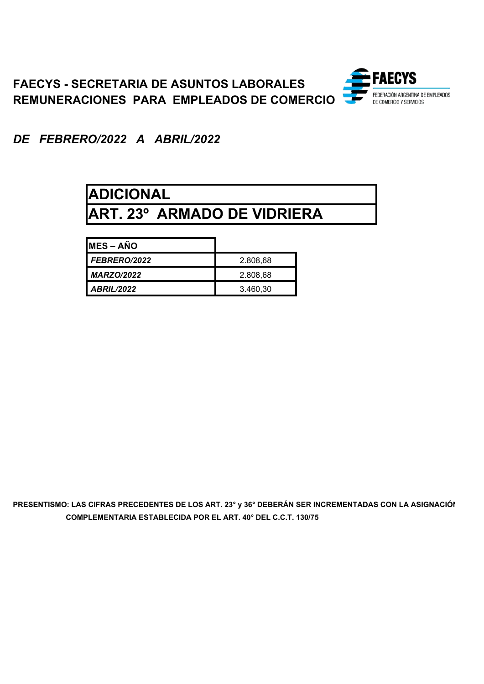

# **ADICIONAL**

# **ART. 23º ARMADO DE VIDRIERA**

| <b>MES-AÑO</b>    |          |
|-------------------|----------|
| FEBRERO/2022      | 2.808,68 |
| <b>MARZO/2022</b> | 2.808,68 |
| <b>ABRIL/2022</b> | 3.460,30 |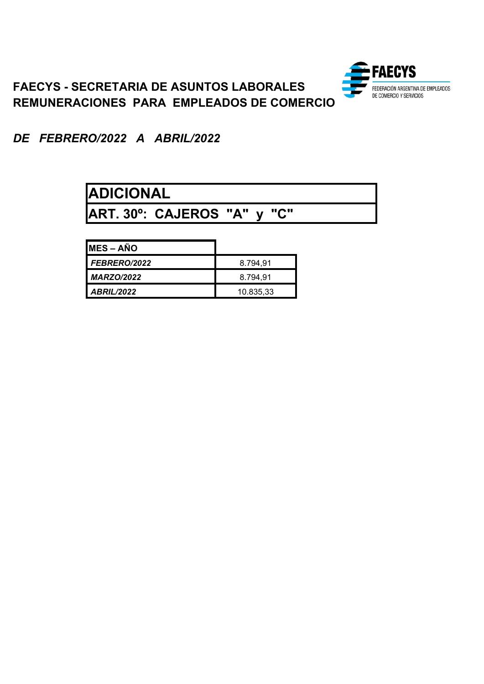

*DE FEBRERO/2022 A ABRIL/2022*

# **ADICIONAL**

**ART. 30º: CAJEROS "A" y "C"**

| IMES – AÑO          |           |
|---------------------|-----------|
| <b>FEBRERO/2022</b> | 8.794.91  |
| <b>MARZO/2022</b>   | 8.794,91  |
| <b>ABRIL/2022</b>   | 10.835,33 |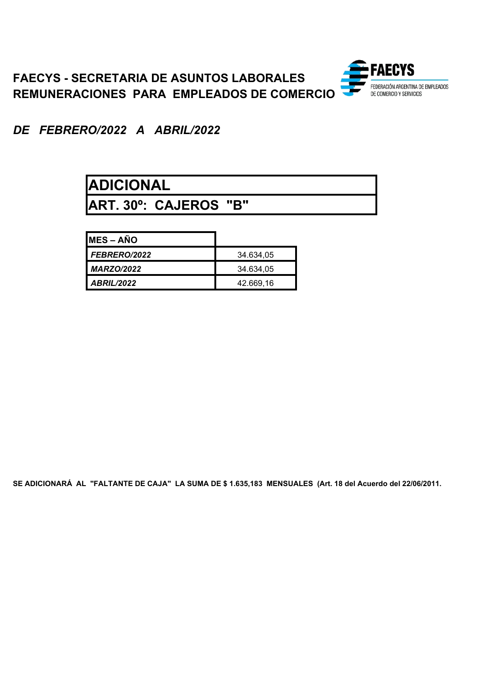

# **ADICIONAL**

**ART. 30º: CAJEROS "B"**

| <b>IMES – AÑO</b>   |           |
|---------------------|-----------|
| <b>FEBRERO/2022</b> | 34.634,05 |
| <b>MARZO/2022</b>   | 34.634,05 |
| <b>ABRIL/2022</b>   | 42.669,16 |

**SE ADICIONARÁ AL "FALTANTE DE CAJA" LA SUMA DE \$ 1.635,183 MENSUALES (Art. 18 del Acuerdo del 22/06/2011.**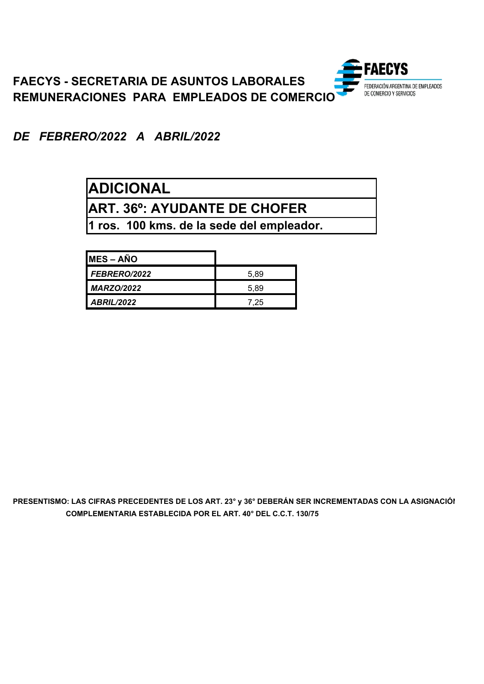

# **ADICIONAL**

**ART. 36º: AYUDANTE DE CHOFER**

**1 ros. 100 kms. de la sede del empleador.**

| <b>MES-AÑO</b>    |      |
|-------------------|------|
| FEBRERO/2022      | 5.89 |
| <b>MARZO/2022</b> | 5.89 |
| <b>ABRIL/2022</b> | 7.25 |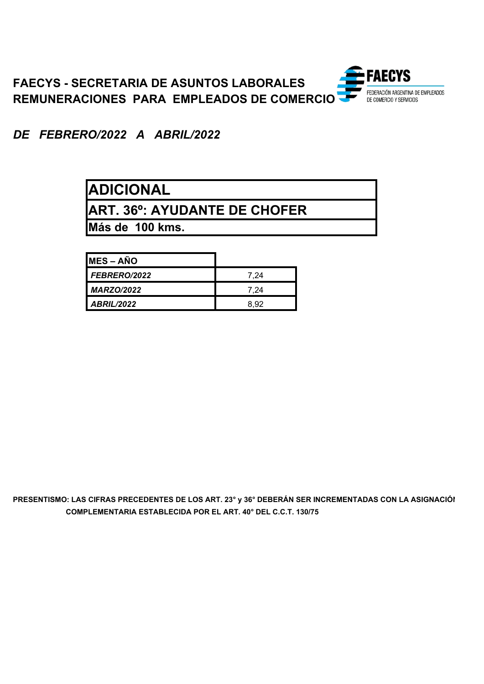# **ADICIONAL**

**ART. 36º: AYUDANTE DE CHOFER**

**Más de 100 kms.**

| IMES – AÑO        |      |
|-------------------|------|
| FEBRERO/2022      | 7.24 |
| <b>MARZO/2022</b> | 7.24 |
| <b>ABRIL/2022</b> | 8.92 |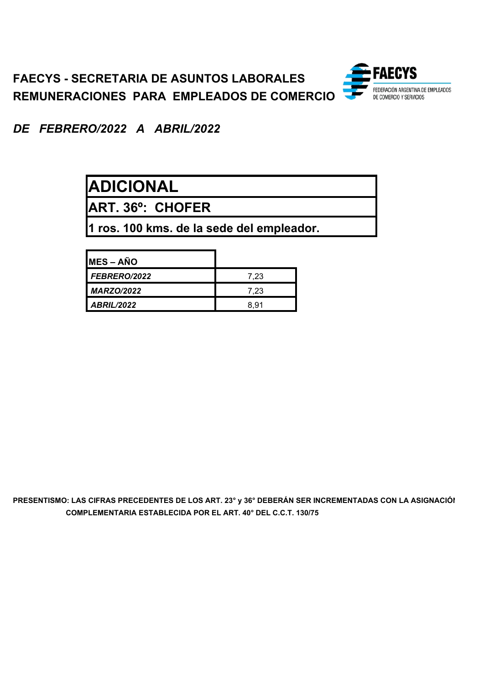

# **ADICIONAL**

**ART. 36º: CHOFER**

**1 ros. 100 kms. de la sede del empleador.**

| <b>MES-AÑO</b>    |      |
|-------------------|------|
| FEBRERO/2022      | 7.23 |
| <b>MARZO/2022</b> | 7.23 |
| <b>ABRIL/2022</b> | 891  |